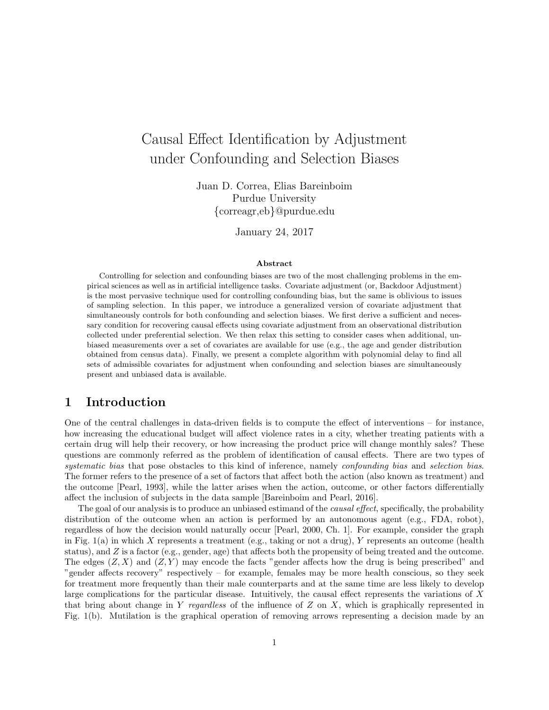# Causal Effect Identification by Adjustment under Confounding and Selection Biases

Juan D. Correa, Elias Bareinboim Purdue University {correagr,eb}@purdue.edu

January 24, 2017

#### Abstract

Controlling for selection and confounding biases are two of the most challenging problems in the empirical sciences as well as in artificial intelligence tasks. Covariate adjustment (or, Backdoor Adjustment) is the most pervasive technique used for controlling confounding bias, but the same is oblivious to issues of sampling selection. In this paper, we introduce a generalized version of covariate adjustment that simultaneously controls for both confounding and selection biases. We first derive a sufficient and necessary condition for recovering causal effects using covariate adjustment from an observational distribution collected under preferential selection. We then relax this setting to consider cases when additional, unbiased measurements over a set of covariates are available for use (e.g., the age and gender distribution obtained from census data). Finally, we present a complete algorithm with polynomial delay to find all sets of admissible covariates for adjustment when confounding and selection biases are simultaneously present and unbiased data is available.

### 1 Introduction

One of the central challenges in data-driven fields is to compute the effect of interventions – for instance, how increasing the educational budget will affect violence rates in a city, whether treating patients with a certain drug will help their recovery, or how increasing the product price will change monthly sales? These questions are commonly referred as the problem of identification of causal effects. There are two types of systematic bias that pose obstacles to this kind of inference, namely *confounding bias* and *selection bias*. The former refers to the presence of a set of factors that affect both the action (also known as treatment) and the outcome [Pearl, 1993], while the latter arises when the action, outcome, or other factors differentially affect the inclusion of subjects in the data sample [Bareinboim and Pearl, 2016].

The goal of our analysis is to produce an unbiased estimand of the *causal effect*, specifically, the probability distribution of the outcome when an action is performed by an autonomous agent (e.g., FDA, robot), regardless of how the decision would naturally occur [Pearl, 2000, Ch. 1]. For example, consider the graph in Fig. 1(a) in which X represents a treatment (e.g., taking or not a drug), Y represents an outcome (health status), and  $Z$  is a factor (e.g., gender, age) that affects both the propensity of being treated and the outcome. The edges  $(Z, X)$  and  $(Z, Y)$  may encode the facts "gender affects how the drug is being prescribed" and "gender affects recovery" respectively – for example, females may be more health conscious, so they seek for treatment more frequently than their male counterparts and at the same time are less likely to develop large complications for the particular disease. Intuitively, the causal effect represents the variations of X that bring about change in Y regardless of the influence of  $Z$  on  $X$ , which is graphically represented in Fig. 1(b). Mutilation is the graphical operation of removing arrows representing a decision made by an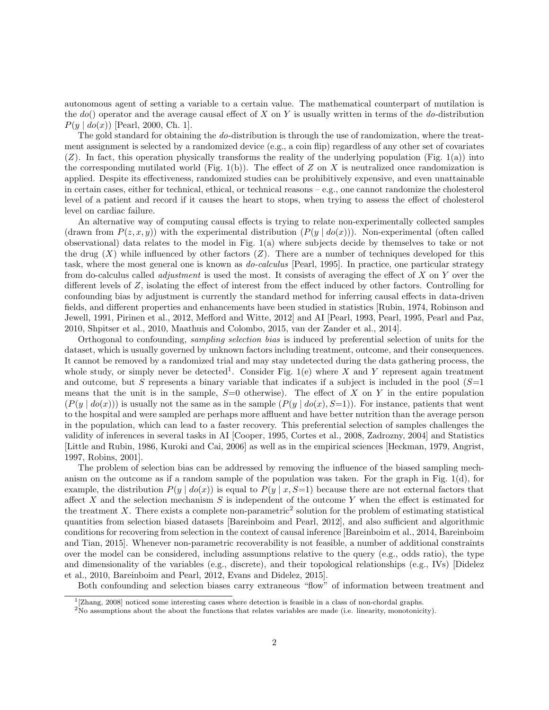autonomous agent of setting a variable to a certain value. The mathematical counterpart of mutilation is the  $do()$  operator and the average causal effect of X on Y is usually written in terms of the  $do$ -distribution  $P(y | do(x))$  [Pearl, 2000, Ch. 1].

The gold standard for obtaining the do-distribution is through the use of randomization, where the treatment assignment is selected by a randomized device (e.g., a coin flip) regardless of any other set of covariates  $(Z)$ . In fact, this operation physically transforms the reality of the underlying population (Fig. 1(a)) into the corresponding mutilated world (Fig. 1(b)). The effect of  $Z$  on  $X$  is neutralized once randomization is applied. Despite its effectiveness, randomized studies can be prohibitively expensive, and even unattainable in certain cases, either for technical, ethical, or technical reasons – e.g., one cannot randomize the cholesterol level of a patient and record if it causes the heart to stops, when trying to assess the effect of cholesterol level on cardiac failure.

An alternative way of computing causal effects is trying to relate non-experimentally collected samples (drawn from  $P(z, x, y)$ ) with the experimental distribution  $(P(y | do(x)))$ . Non-experimental (often called observational) data relates to the model in Fig. 1(a) where subjects decide by themselves to take or not the drug  $(X)$  while influenced by other factors  $(Z)$ . There are a number of techniques developed for this task, where the most general one is known as do-calculus [Pearl, 1995]. In practice, one particular strategy from do-calculus called *adjustment* is used the most. It consists of averaging the effect of  $X$  on  $Y$  over the different levels of Z, isolating the effect of interest from the effect induced by other factors. Controlling for confounding bias by adjustment is currently the standard method for inferring causal effects in data-driven fields, and different properties and enhancements have been studied in statistics [Rubin, 1974, Robinson and Jewell, 1991, Pirinen et al., 2012, Mefford and Witte, 2012] and AI [Pearl, 1993, Pearl, 1995, Pearl and Paz, 2010, Shpitser et al., 2010, Maathuis and Colombo, 2015, van der Zander et al., 2014].

Orthogonal to confounding, sampling selection bias is induced by preferential selection of units for the dataset, which is usually governed by unknown factors including treatment, outcome, and their consequences. It cannot be removed by a randomized trial and may stay undetected during the data gathering process, the whole study, or simply never be detected<sup>1</sup>. Consider Fig. 1(e) where X and Y represent again treatment and outcome, but S represents a binary variable that indicates if a subject is included in the pool  $(S=1)$ means that the unit is in the sample,  $S=0$  otherwise). The effect of X on Y in the entire population  $(P(y | do(x)))$  is usually not the same as in the sample  $(P(y | do(x), S=1))$ . For instance, patients that went to the hospital and were sampled are perhaps more affluent and have better nutrition than the average person in the population, which can lead to a faster recovery. This preferential selection of samples challenges the validity of inferences in several tasks in AI [Cooper, 1995, Cortes et al., 2008, Zadrozny, 2004] and Statistics [Little and Rubin, 1986, Kuroki and Cai, 2006] as well as in the empirical sciences [Heckman, 1979, Angrist, 1997, Robins, 2001].

The problem of selection bias can be addressed by removing the influence of the biased sampling mechanism on the outcome as if a random sample of the population was taken. For the graph in Fig. 1(d), for example, the distribution  $P(y | do(x))$  is equal to  $P(y | x, S=1)$  because there are not external factors that affect X and the selection mechanism  $S$  is independent of the outcome Y when the effect is estimated for the treatment  $X$ . There exists a complete non-parametric<sup>2</sup> solution for the problem of estimating statistical quantities from selection biased datasets [Bareinboim and Pearl, 2012], and also sufficient and algorithmic conditions for recovering from selection in the context of causal inference [Bareinboim et al., 2014, Bareinboim and Tian, 2015]. Whenever non-parametric recoverability is not feasible, a number of additional constraints over the model can be considered, including assumptions relative to the query (e.g., odds ratio), the type and dimensionality of the variables (e.g., discrete), and their topological relationships (e.g., IVs) [Didelez et al., 2010, Bareinboim and Pearl, 2012, Evans and Didelez, 2015].

Both confounding and selection biases carry extraneous "flow" of information between treatment and

<sup>&</sup>lt;sup>1</sup>[Zhang, 2008] noticed some interesting cases where detection is feasible in a class of non-chordal graphs.

 $2N<sub>0</sub>$  assumptions about the about the functions that relates variables are made (i.e. linearity, monotonicity).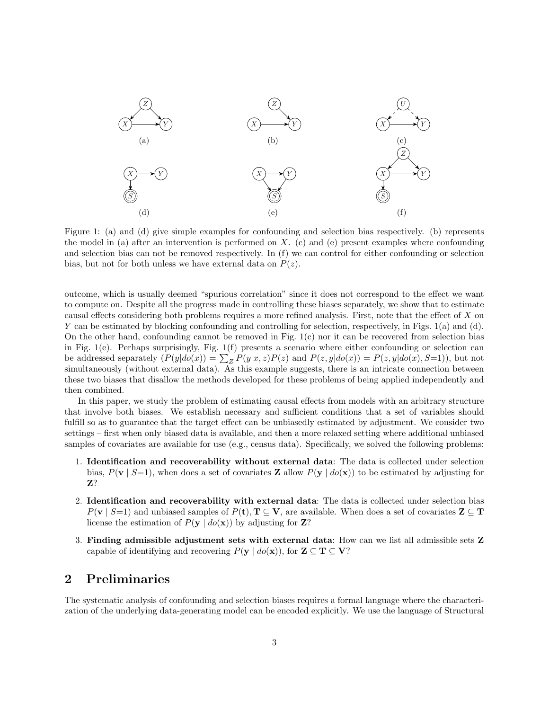

Figure 1: (a) and (d) give simple examples for confounding and selection bias respectively. (b) represents the model in (a) after an intervention is performed on  $X$ . (c) and (e) present examples where confounding and selection bias can not be removed respectively. In (f) we can control for either confounding or selection bias, but not for both unless we have external data on  $P(z)$ .

outcome, which is usually deemed "spurious correlation" since it does not correspond to the effect we want to compute on. Despite all the progress made in controlling these biases separately, we show that to estimate causal effects considering both problems requires a more refined analysis. First, note that the effect of X on Y can be estimated by blocking confounding and controlling for selection, respectively, in Figs. 1(a) and (d). On the other hand, confounding cannot be removed in Fig. 1(c) nor it can be recovered from selection bias in Fig. 1(e). Perhaps surprisingly, Fig. 1(f) presents a scenario where either confounding or selection can be addressed separately  $(P(y|do(x)) = \sum_{Z} P(y|x, z)P(z)$  and  $P(z, y|do(x)) = P(z, y|do(x), S=1)$ , but not simultaneously (without external data). As this example suggests, there is an intricate connection between these two biases that disallow the methods developed for these problems of being applied independently and then combined.

In this paper, we study the problem of estimating causal effects from models with an arbitrary structure that involve both biases. We establish necessary and sufficient conditions that a set of variables should fulfill so as to guarantee that the target effect can be unbiasedly estimated by adjustment. We consider two settings – first when only biased data is available, and then a more relaxed setting where additional unbiased samples of covariates are available for use (e.g., census data). Specifically, we solved the following problems:

- 1. Identification and recoverability without external data: The data is collected under selection bias,  $P(\mathbf{v} \mid S=1)$ , when does a set of covariates **Z** allow  $P(\mathbf{y} \mid do(\mathbf{x}))$  to be estimated by adjusting for Z?
- 2. Identification and recoverability with external data: The data is collected under selection bias  $P(\mathbf{v} \mid S=1)$  and unbiased samples of  $P(\mathbf{t}), \mathbf{T} \subseteq \mathbf{V}$ , are available. When does a set of covariates  $\mathbf{Z} \subseteq \mathbf{T}$ license the estimation of  $P(\mathbf{y} \mid do(\mathbf{x}))$  by adjusting for **Z**?
- 3. Finding admissible adjustment sets with external data: How can we list all admissible sets Z capable of identifying and recovering  $P(\mathbf{y} \mid do(\mathbf{x}))$ , for  $\mathbf{Z} \subseteq \mathbf{T} \subseteq \mathbf{V}$ ?

# 2 Preliminaries

The systematic analysis of confounding and selection biases requires a formal language where the characterization of the underlying data-generating model can be encoded explicitly. We use the language of Structural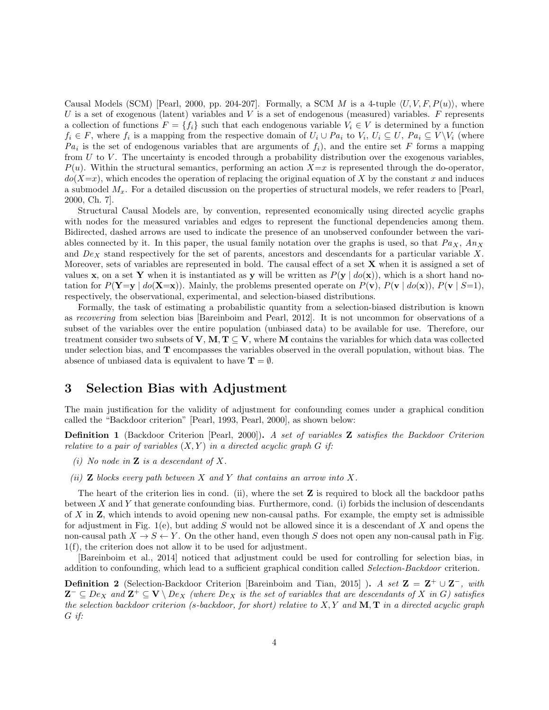Causal Models (SCM) [Pearl, 2000, pp. 204-207]. Formally, a SCM M is a 4-tuple  $\langle U, V, F, P(u) \rangle$ , where U is a set of exogenous (latent) variables and V is a set of endogenous (measured) variables. F represents a collection of functions  $F = \{f_i\}$  such that each endogenous variable  $V_i \in V$  is determined by a function  $f_i \in F$ , where  $f_i$  is a mapping from the respective domain of  $U_i \cup Pa_i$  to  $V_i$ ,  $U_i \subseteq U$ ,  $Pa_i \subseteq V \setminus V_i$  (where  $Pa_i$  is the set of endogenous variables that are arguments of  $f_i$ ), and the entire set F forms a mapping from  $U$  to  $V$ . The uncertainty is encoded through a probability distribution over the exogenous variables,  $P(u)$ . Within the structural semantics, performing an action  $X=x$  is represented through the do-operator,  $do(X=x)$ , which encodes the operation of replacing the original equation of X by the constant x and induces a submodel  $M_x$ . For a detailed discussion on the properties of structural models, we refer readers to [Pearl, 2000, Ch. 7].

Structural Causal Models are, by convention, represented economically using directed acyclic graphs with nodes for the measured variables and edges to represent the functional dependencies among them. Bidirected, dashed arrows are used to indicate the presence of an unobserved confounder between the variables connected by it. In this paper, the usual family notation over the graphs is used, so that  $Pa_X$ ,  $An_X$ and  $De<sub>X</sub>$  stand respectively for the set of parents, ancestors and descendants for a particular variable X. Moreover, sets of variables are represented in bold. The causal effect of a set  $X$  when it is assigned a set of values x, on a set Y when it is instantiated as y will be written as  $P(y | do(x))$ , which is a short hand notation for  $P(Y=y | do(X=x))$ . Mainly, the problems presented operate on  $P(y)$ ,  $P(y | do(x))$ ,  $P(y | S=1)$ , respectively, the observational, experimental, and selection-biased distributions.

Formally, the task of estimating a probabilistic quantity from a selection-biased distribution is known as recovering from selection bias [Bareinboim and Pearl, 2012]. It is not uncommon for observations of a subset of the variables over the entire population (unbiased data) to be available for use. Therefore, our treatment consider two subsets of V, M,  $T \subseteq V$ , where M contains the variables for which data was collected under selection bias, and T encompasses the variables observed in the overall population, without bias. The absence of unbiased data is equivalent to have  $\mathbf{T} = \emptyset$ .

# 3 Selection Bias with Adjustment

The main justification for the validity of adjustment for confounding comes under a graphical condition called the "Backdoor criterion" [Pearl, 1993, Pearl, 2000], as shown below:

Definition 1 (Backdoor Criterion [Pearl, 2000]). A set of variables Z satisfies the Backdoor Criterion relative to a pair of variables  $(X, Y)$  in a directed acyclic graph G if:

- (i) No node in  $\mathbf Z$  is a descendant of X.
- (ii) **Z** blocks every path between X and Y that contains an arrow into X.

The heart of the criterion lies in cond. (ii), where the set  $Z$  is required to block all the backdoor paths between X and Y that generate confounding bias. Furthermore, cond. (i) forbids the inclusion of descendants of X in  $\mathbb Z$ , which intends to avoid opening new non-causal paths. For example, the empty set is admissible for adjustment in Fig. 1(e), but adding S would not be allowed since it is a descendant of X and opens the non-causal path  $X \to S \leftarrow Y$ . On the other hand, even though S does not open any non-causal path in Fig. 1(f), the criterion does not allow it to be used for adjustment.

[Bareinboim et al., 2014] noticed that adjustment could be used for controlling for selection bias, in addition to confounding, which lead to a sufficient graphical condition called Selection-Backdoor criterion.

**Definition 2** (Selection-Backdoor Criterion [Bareinboim and Tian, 2015]). A set  $\mathbf{Z} = \mathbf{Z}^+ \cup \mathbf{Z}^-$ , with  ${\bf Z}^- \subseteq De_X$  and  ${\bf Z}^+ \subseteq {\bf V} \setminus De_X$  (where  $De_X$  is the set of variables that are descendants of X in G) satisfies the selection backdoor criterion (s-backdoor, for short) relative to  $X, Y$  and  $\mathbf{M}, \mathbf{T}$  in a directed acyclic graph G if: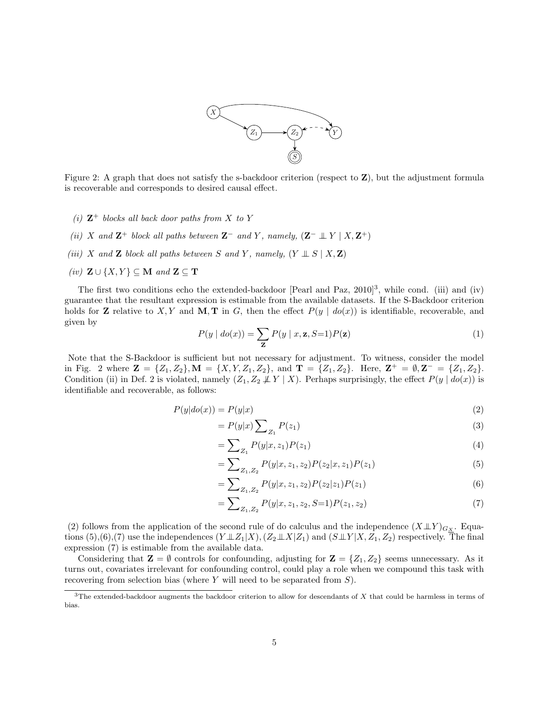

Figure 2: A graph that does not satisfy the s-backdoor criterion (respect to Z), but the adjustment formula is recoverable and corresponds to desired causal effect.

- (i)  $\mathbb{Z}^+$  blocks all back door paths from X to Y
- (ii) X and  $\mathbf{Z}^+$  block all paths between  $\mathbf{Z}^-$  and Y, namely,  $(\mathbf{Z}^- \perp \hspace{-1.2mm} \perp Y \mid X, \mathbf{Z}^+)$
- (iii) X and Z block all paths between S and Y, namely,  $(Y \perp S | X, Z)$
- (iv)  $\mathbf{Z} \cup \{X, Y\} \subseteq \mathbf{M}$  and  $\mathbf{Z} \subseteq \mathbf{T}$

The first two conditions echo the extended-backdoor [Pearl and Paz,  $2010]^3$ , while cond. (iii) and (iv) guarantee that the resultant expression is estimable from the available datasets. If the S-Backdoor criterion holds for **Z** relative to X, Y and **M**, **T** in G, then the effect  $P(y | do(x))$  is identifiable, recoverable, and given by

$$
P(y | do(x)) = \sum_{\mathbf{Z}} P(y | x, \mathbf{z}, S=1) P(\mathbf{z})
$$
\n(1)

Note that the S-Backdoor is sufficient but not necessary for adjustment. To witness, consider the model in Fig. 2 where  $\mathbf{Z} = \{Z_1, Z_2\}$ ,  $\mathbf{M} = \{X, Y, Z_1, Z_2\}$ , and  $\mathbf{T} = \{Z_1, Z_2\}$ . Here,  $\mathbf{Z}^+ = \emptyset$ ,  $\mathbf{Z}^- = \{Z_1, Z_2\}$ . Condition (ii) in Def. 2 is violated, namely  $(Z_1, Z_2 \not\perp Y \mid X)$ . Perhaps surprisingly, the effect  $P(y \mid do(x))$  is identifiable and recoverable, as follows:

$$
P(y|do(x)) = P(y|x)
$$
\n<sup>(2)</sup>

$$
= P(y|x) \sum_{Z_1} P(z_1) \tag{3}
$$

$$
= \sum_{Z_1} P(y|x, z_1) P(z_1) \tag{4}
$$

$$
= \sum_{Z_1, Z_2} P(y|x, z_1, z_2) P(z_2|x, z_1) P(z_1)
$$
\n(5)

$$
=\sum_{Z_1,Z_2} P(y|x,z_1,z_2)P(z_2|z_1)P(z_1)
$$
\n(6)

$$
=\sum_{Z_1,Z_2} P(y|x,z_1,z_2,S=1)P(z_1,z_2)
$$
\n(7)

(2) follows from the application of the second rule of do calculus and the independence  $(X \perp\!\!\!\perp Y)_{G_X}$ . Equations (5),(6),(7) use the independences  $(Y \perp Z_1 | X)$ ,  $(Z_2 \perp X | Z_1)$  and  $(S \perp Y | X, Z_1, Z_2)$  respectively. The final expression (7) is estimable from the available data.

Considering that  $\mathbf{Z} = \emptyset$  controls for confounding, adjusting for  $\mathbf{Z} = \{Z_1, Z_2\}$  seems unnecessary. As it turns out, covariates irrelevant for confounding control, could play a role when we compound this task with recovering from selection bias (where  $Y$  will need to be separated from  $S$ ).

 $3$ The extended-backdoor augments the backdoor criterion to allow for descendants of  $X$  that could be harmless in terms of bias.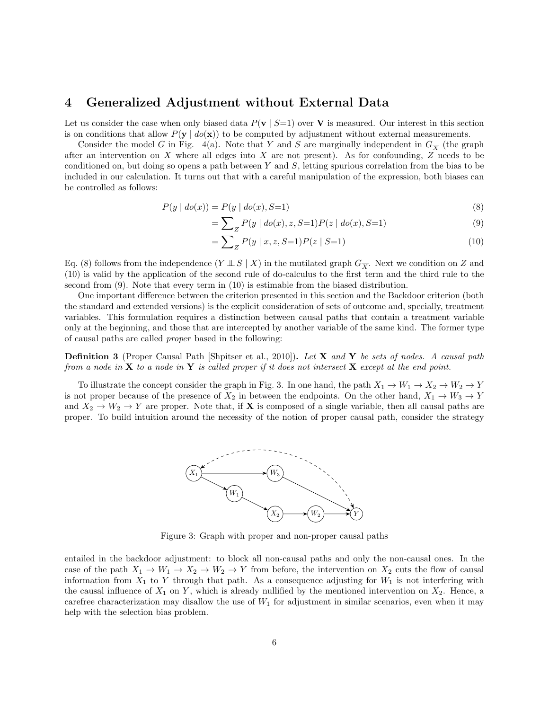### 4 Generalized Adjustment without External Data

Let us consider the case when only biased data  $P(\mathbf{v} \mid S=1)$  over **V** is measured. Our interest in this section is on conditions that allow  $P(y \mid do(x))$  to be computed by adjustment without external measurements.

Consider the model G in Fig. 4(a). Note that Y and S are marginally independent in  $G_{\overline{X}}$  (the graph after an intervention on  $X$  where all edges into  $X$  are not present). As for confounding,  $Z$  needs to be conditioned on, but doing so opens a path between Y and S, letting spurious correlation from the bias to be included in our calculation. It turns out that with a careful manipulation of the expression, both biases can be controlled as follows:

$$
P(y | do(x)) = P(y | do(x), S=1)
$$
\n(8)

$$
= \sum_{Z} P(y \mid do(x), z, S=1) P(z \mid do(x), S=1)
$$
\n(9)

$$
= \sum_{Z} P(y \mid x, z, S=1) P(z \mid S=1)
$$
\n(10)

Eq. (8) follows from the independence  $(Y \perp\!\!\!\perp S \mid X)$  in the mutilated graph  $G_{\overline{X}}$ . Next we condition on Z and (10) is valid by the application of the second rule of do-calculus to the first term and the third rule to the second from (9). Note that every term in (10) is estimable from the biased distribution.

One important difference between the criterion presented in this section and the Backdoor criterion (both the standard and extended versions) is the explicit consideration of sets of outcome and, specially, treatment variables. This formulation requires a distinction between causal paths that contain a treatment variable only at the beginning, and those that are intercepted by another variable of the same kind. The former type of causal paths are called proper based in the following:

**Definition 3** (Proper Causal Path [Shpitser et al., 2010]). Let **X** and **Y** be sets of nodes. A causal path from a node in  $X$  to a node in  $Y$  is called proper if it does not intersect  $X$  except at the end point.

To illustrate the concept consider the graph in Fig. 3. In one hand, the path  $X_1 \to W_1 \to X_2 \to W_2 \to Y$ is not proper because of the presence of  $X_2$  in between the endpoints. On the other hand,  $X_1 \rightarrow W_3 \rightarrow Y$ and  $X_2 \to W_2 \to Y$  are proper. Note that, if **X** is composed of a single variable, then all causal paths are proper. To build intuition around the necessity of the notion of proper causal path, consider the strategy



Figure 3: Graph with proper and non-proper causal paths

entailed in the backdoor adjustment: to block all non-causal paths and only the non-causal ones. In the case of the path  $X_1 \to W_1 \to X_2 \to W_2 \to Y$  from before, the intervention on  $X_2$  cuts the flow of causal information from  $X_1$  to Y through that path. As a consequence adjusting for  $W_1$  is not interfering with the causal influence of  $X_1$  on Y, which is already nullified by the mentioned intervention on  $X_2$ . Hence, a carefree characterization may disallow the use of  $W_1$  for adjustment in similar scenarios, even when it may help with the selection bias problem.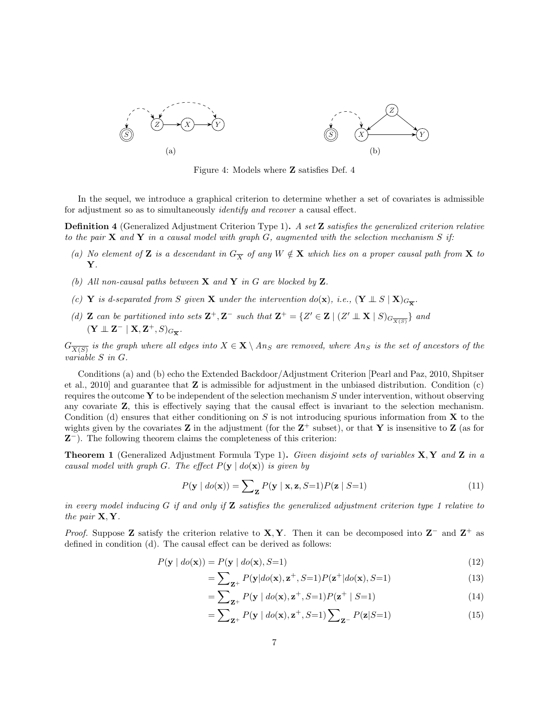

Figure 4: Models where Z satisfies Def. 4

In the sequel, we introduce a graphical criterion to determine whether a set of covariates is admissible for adjustment so as to simultaneously identify and recover a causal effect.

Definition 4 (Generalized Adjustment Criterion Type 1). A set Z satisfies the generalized criterion relative to the pair  $X$  and  $Y$  in a causal model with graph  $G$ , augmented with the selection mechanism S if:

- (a) No element of Z is a descendant in  $G_{\overline{X}}$  of any  $W \notin X$  which lies on a proper causal path from X to Y.
- (b) All non-causal paths between  $X$  and  $Y$  in  $G$  are blocked by  $Z$ .
- (c) Y is d-separated from S given X under the intervention do(x), i.e.,  $(Y \perp\!\!\!\perp S \mid X)_{G_{\overline{X}}}$ .
- (d) **Z** can be partitioned into sets  $\mathbf{Z}^+$ ,  $\mathbf{Z}^-$  such that  $\mathbf{Z}^+ = \{Z' \in \mathbf{Z} \mid (Z' \perp \mathbf{X} \mid S)_{G_{\overline{X(S)}}}\}$  and  $(\mathbf{Y} \perp \!\!\! \perp \mathbf{Z}^- \mid \mathbf{X}, \mathbf{Z}^+, S)_{G_{\overline{\mathbf{X}}}}.$

 $G_{\overline{X(S)}}$  is the graph where all edges into  $X\in \mathbf{X}\setminus An_S$  are removed, where  $An_S$  is the set of ancestors of the variable S in G.

Conditions (a) and (b) echo the Extended Backdoor/Adjustment Criterion [Pearl and Paz, 2010, Shpitser et al., 2010] and guarantee that Z is admissible for adjustment in the unbiased distribution. Condition (c) requires the outcome  $\bf{Y}$  to be independent of the selection mechanism S under intervention, without observing any covariate Z, this is effectively saying that the causal effect is invariant to the selection mechanism. Condition (d) ensures that either conditioning on  $S$  is not introducing spurious information from  $X$  to the wights given by the covariates  $Z$  in the adjustment (for the  $Z^+$  subset), or that Y is insensitive to  $Z$  (as for Z <sup>−</sup>). The following theorem claims the completeness of this criterion:

**Theorem 1** (Generalized Adjustment Formula Type 1). Given disjoint sets of variables  $X, Y$  and  $Z$  in a causal model with graph G. The effect  $P(\mathbf{v} \mid do(\mathbf{x}))$  is given by

$$
P(\mathbf{y} \mid \text{do}(\mathbf{x})) = \sum_{\mathbf{Z}} P(\mathbf{y} \mid \mathbf{x}, \mathbf{z}, S=1) P(\mathbf{z} \mid S=1)
$$
\n(11)

in every model inducing G if and only if **Z** satisfies the generalized adjustment criterion type 1 relative to the pair  $X, Y$ .

*Proof.* Suppose Z satisfy the criterion relative to X, Y. Then it can be decomposed into  $Z^-$  and  $Z^+$  as defined in condition (d). The causal effect can be derived as follows:

$$
P(\mathbf{y} \mid \text{do}(\mathbf{x})) = P(\mathbf{y} \mid \text{do}(\mathbf{x}), S=1)
$$
\n<sup>(12)</sup>

$$
=\sum_{\mathbf{Z}^+} P(\mathbf{y}|do(\mathbf{x}), \mathbf{z}^+, S=1) P(\mathbf{z}^+|do(\mathbf{x}), S=1)
$$
\n(13)

$$
=\sum_{\mathbf{Z}^+} P(\mathbf{y} \mid \text{do}(\mathbf{x}), \mathbf{z}^+, S=1) P(\mathbf{z}^+ \mid S=1) \tag{14}
$$

$$
= \sum_{\mathbf{Z}^+} P(\mathbf{y} \mid \text{do}(\mathbf{x}), \mathbf{z}^+, S=1) \sum_{\mathbf{Z}^-} P(\mathbf{z}|S=1) \tag{15}
$$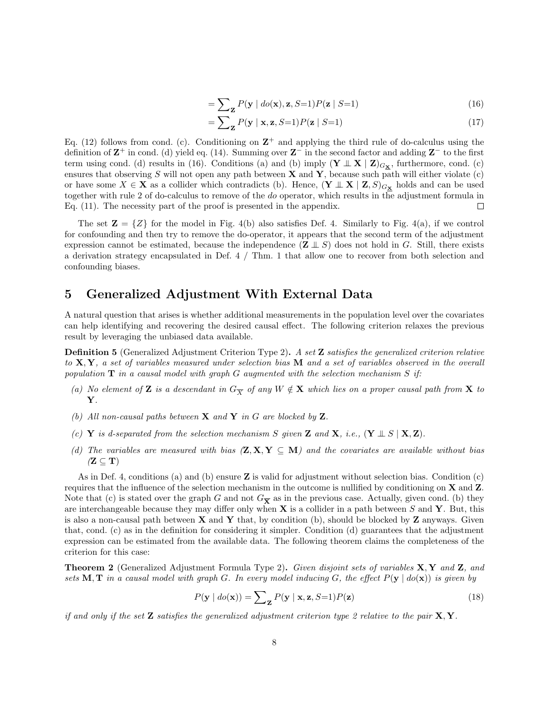$$
= \sum_{\mathbf{z}} P(\mathbf{y} \mid \text{do}(\mathbf{x}), \mathbf{z}, S=1) P(\mathbf{z} \mid S=1) \tag{16}
$$

$$
= \sum_{\mathbf{Z}} P(\mathbf{y} \mid \mathbf{x}, \mathbf{z}, S=1) P(\mathbf{z} \mid S=1)
$$
 (17)

Eq. (12) follows from cond. (c). Conditioning on  $\mathbb{Z}^+$  and applying the third rule of do-calculus using the definition of  $\mathbb{Z}^+$  in cond. (d) yield eq. (14). Summing over  $\mathbb{Z}^-$  in the second factor and adding  $\mathbb{Z}^-$  to the first term using cond. (d) results in (16). Conditions (a) and (b) imply  $(\mathbf{Y} \perp \perp \mathbf{X} \mid \mathbf{Z})_{G_{\mathbf{X}}},$  furthermore, cond. (c) ensures that observing S will not open any path between **X** and **Y**, because such path will either violate (c) or have some  $X \in \mathbf{X}$  as a collider which contradicts (b). Hence,  $(\mathbf{Y} \perp \mathbf{X} \mid \mathbf{Z}, S)_{G_{\mathbf{X}}}$  holds and can be used together with rule 2 of do-calculus to remove of the do operator, which results in the adjustment formula in Eq. (11). The necessity part of the proof is presented in the appendix.  $\Box$ 

The set  $\mathbf{Z} = \{Z\}$  for the model in Fig. 4(b) also satisfies Def. 4. Similarly to Fig. 4(a), if we control for confounding and then try to remove the do-operator, it appears that the second term of the adjustment expression cannot be estimated, because the independence  $(\mathbf{Z} \perp \hspace{-0.1cm} \perp S)$  does not hold in G. Still, there exists a derivation strategy encapsulated in Def. 4 / Thm. 1 that allow one to recover from both selection and confounding biases.

### 5 Generalized Adjustment With External Data

A natural question that arises is whether additional measurements in the population level over the covariates can help identifying and recovering the desired causal effect. The following criterion relaxes the previous result by leveraging the unbiased data available.

**Definition 5** (Generalized Adjustment Criterion Type 2). A set **Z** satisfies the generalized criterion relative to  $X, Y$ , a set of variables measured under selection bias M and a set of variables observed in the overall population  $T$  in a causal model with graph G augmented with the selection mechanism S if:

- (a) No element of **Z** is a descendant in  $G_{\overline{X}}$  of any  $W \notin \mathbf{X}$  which lies on a proper causal path from **X** to Y.
- (b) All non-causal paths between  $X$  and  $Y$  in G are blocked by  $Z$ .
- (c) Y is d-separated from the selection mechanism S given Z and X, i.e.,  $(Y \perp S | X, Z)$ .
- (d) The variables are measured with bias  $(\mathbf{Z}, \mathbf{X}, \mathbf{Y} \subseteq \mathbf{M})$  and the covariates are available without bias  $(Z \subseteq T)$

As in Def. 4, conditions (a) and (b) ensure  $\mathbf Z$  is valid for adjustment without selection bias. Condition (c) requires that the influence of the selection mechanism in the outcome is nullified by conditioning on X and Z. Note that (c) is stated over the graph G and not  $G_{\overline{X}}$  as in the previous case. Actually, given cond. (b) they are interchangeable because they may differ only when  $X$  is a collider in a path between S and Y. But, this is also a non-causal path between  $X$  and  $Y$  that, by condition (b), should be blocked by  $Z$  anyways. Given that, cond. (c) as in the definition for considering it simpler. Condition (d) guarantees that the adjustment expression can be estimated from the available data. The following theorem claims the completeness of the criterion for this case:

**Theorem 2** (Generalized Adjustment Formula Type 2). Given disjoint sets of variables  $X, Y$  and  $Z$ , and sets M, T in a causal model with graph G. In every model inducing G, the effect  $P(y | do(x))$  is given by

$$
P(\mathbf{y} \mid do(\mathbf{x})) = \sum_{\mathbf{z}} P(\mathbf{y} \mid \mathbf{x}, \mathbf{z}, S=1) P(\mathbf{z})
$$
\n(18)

if and only if the set **Z** satisfies the generalized adjustment criterion type 2 relative to the pair  $X, Y$ .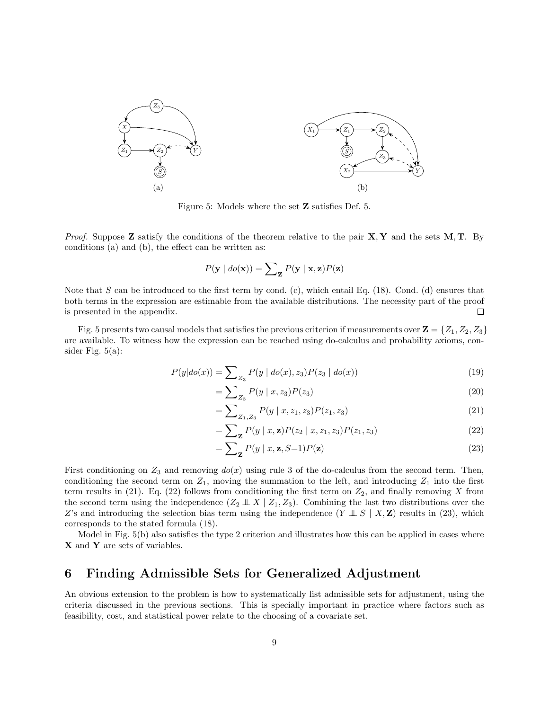

Figure 5: Models where the set Z satisfies Def. 5.

*Proof.* Suppose **Z** satisfy the conditions of the theorem relative to the pair  $X, Y$  and the sets  $M, T$ . By conditions (a) and (b), the effect can be written as:

$$
P(\mathbf{y} \mid \textit{do}(\mathbf{x})) = \sum_{\mathbf{Z}} P(\mathbf{y} \mid \mathbf{x}, \mathbf{z}) P(\mathbf{z})
$$

Note that S can be introduced to the first term by cond. (c), which entail Eq. (18). Cond. (d) ensures that both terms in the expression are estimable from the available distributions. The necessity part of the proof is presented in the appendix. □

Fig. 5 presents two causal models that satisfies the previous criterion if measurements over  $\mathbf{Z} = \{Z_1, Z_2, Z_3\}$ are available. To witness how the expression can be reached using do-calculus and probability axioms, consider Fig. 5(a):

$$
P(y|do(x)) = \sum_{Z_3} P(y \mid do(x), z_3) P(z_3 \mid do(x))
$$
\n(19)

$$
=\sum_{Z_3} P(y \mid x, z_3) P(z_3) \tag{20}
$$

$$
=\sum_{Z_1,Z_3} P(y \mid x, z_1, z_3) P(z_1, z_3) \tag{21}
$$

$$
= \sum_{\mathbf{z}} P(y \mid x, \mathbf{z}) P(z_2 \mid x, z_1, z_3) P(z_1, z_3)
$$
 (22)

$$
= \sum_{\mathbf{z}} P(y \mid x, \mathbf{z}, S=1) P(\mathbf{z}) \tag{23}
$$

First conditioning on  $Z_3$  and removing  $do(x)$  using rule 3 of the do-calculus from the second term. Then, conditioning the second term on  $Z_1$ , moving the summation to the left, and introducing  $Z_1$  into the first term results in (21). Eq. (22) follows from conditioning the first term on  $Z_2$ , and finally removing X from the second term using the independence  $(Z_2 \perp X | Z_1, Z_3)$ . Combining the last two distributions over the Z's and introducing the selection bias term using the independence  $(Y \perp\!\!\!\perp S \mid X, \mathbf{Z})$  results in (23), which corresponds to the stated formula (18).

Model in Fig. 5(b) also satisfies the type 2 criterion and illustrates how this can be applied in cases where X and Y are sets of variables.

# 6 Finding Admissible Sets for Generalized Adjustment

An obvious extension to the problem is how to systematically list admissible sets for adjustment, using the criteria discussed in the previous sections. This is specially important in practice where factors such as feasibility, cost, and statistical power relate to the choosing of a covariate set.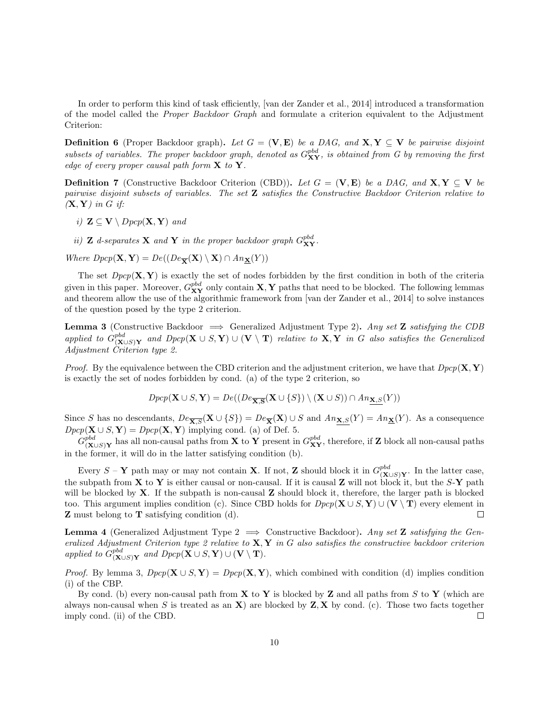In order to perform this kind of task efficiently, [van der Zander et al., 2014] introduced a transformation of the model called the Proper Backdoor Graph and formulate a criterion equivalent to the Adjustment Criterion:

**Definition 6** (Proper Backdoor graph). Let  $G = (\mathbf{V}, \mathbf{E})$  be a DAG, and  $\mathbf{X}, \mathbf{Y} \subseteq \mathbf{V}$  be pairwise disjoint subsets of variables. The proper backdoor graph, denoted as  $G_{\bf XY}^{pbd}$ , is obtained from G by removing the first edge of every proper causal path form  $X$  to  $Y$ .

**Definition 7** (Constructive Backdoor Criterion (CBD)). Let  $G = (\mathbf{V}, \mathbf{E})$  be a DAG, and  $\mathbf{X}, \mathbf{Y} \subseteq \mathbf{V}$  be pairwise disjoint subsets of variables. The set  $\mathbf Z$  satisfies the Constructive Backdoor Criterion relative to  $(X, Y)$  in G if:

i)  $\mathbf{Z} \subseteq \mathbf{V} \setminus \mathit{Dpcp}(\mathbf{X}, \mathbf{Y})$  and

ii) **Z** d-separates **X** and **Y** in the proper backdoor graph  $G_{XY}^{pbd}$ .

Where  $Dpcp(\mathbf{X}, \mathbf{Y}) = De((De_{\overline{\mathbf{Y}}}(\mathbf{X}) \setminus \mathbf{X}) \cap An_{\mathbf{X}}(Y))$ 

The set  $Dpcp(X, Y)$  is exactly the set of nodes forbidden by the first condition in both of the criteria given in this paper. Moreover,  $G_{XY}^{pbd}$  only contain  $X, Y$  paths that need to be blocked. The following lemmas and theorem allow the use of the algorithmic framework from [van der Zander et al., 2014] to solve instances of the question posed by the type 2 criterion.

**Lemma 3** (Constructive Backdoor  $\implies$  Generalized Adjustment Type 2). Any set **Z** satisfying the CDB applied to  $G_{(\mathbf{X})}^{pbd}$  $\sum_{(\mathbf{X}\cup S) \mathbf{Y}}^{pba}$  and  $Dpcp(\mathbf{X}\cup S,\mathbf{Y})\cup (\mathbf{V}\setminus \mathbf{T})$  relative to  $\mathbf{X},\mathbf{Y}$  in  $G$  also satisfies the Generalized Adjustment Criterion type 2.

*Proof.* By the equivalence between the CBD criterion and the adjustment criterion, we have that  $Dpcp(\mathbf{X}, \mathbf{Y})$ is exactly the set of nodes forbidden by cond. (a) of the type 2 criterion, so

$$
Dpcp(\mathbf{X} \cup S, \mathbf{Y}) = De((De_{\overline{\mathbf{X}, \mathbf{S}}}(\mathbf{X} \cup \{S\}) \setminus (\mathbf{X} \cup S)) \cap An_{\underline{\mathbf{X}, S}}(Y))
$$

Since S has no descendants,  $De_{\overline{X},S}(X \cup \{S\}) = De_{\overline{X}}(X) \cup S$  and  $An_{X,S}(Y) = An_{\underline{X}}(Y)$ . As a consequence  $Dpcp({\bf X}\cup S,{\bf Y})=Dpcp({\bf X},{\bf Y})$  implying cond. (a) of Def. 5.

 $G_{(\mathbf{X})}^{pbd}$  $\sum_{(\mathbf{X} \cup S)$  and  $\mathbf{Y}$  has all non-causal paths from  $\mathbf{X}$  to  $\mathbf{Y}$  present in  $G_{\mathbf{X}\mathbf{Y}}^{pbd}$ , therefore, if  $\mathbf{Z}$  block all non-causal paths in the former, it will do in the latter satisfying condition (b).

Every  $S - Y$  path may or may not contain **X**. If not, **Z** should block it in  $G_{(x)}^{pbd}$  $\sum_{(\mathbf{X} \cup S) \mathbf{Y}}^{\textit{poa}}$ . In the latter case, the subpath from  $X$  to  $Y$  is either causal or non-causal. If it is causal  $Z$  will not block it, but the  $S-Y$  path will be blocked by  $X$ . If the subpath is non-causal  $Z$  should block it, therefore, the larger path is blocked too. This argument implies condition (c). Since CBD holds for  $Dpcp(\mathbf{X} \cup S, \mathbf{Y}) \cup (\mathbf{V} \setminus \mathbf{T})$  every element in Z must belong to T satisfying condition (d).  $\Box$ 

**Lemma 4** (Generalized Adjustment Type  $2 \implies$  Constructive Backdoor). Any set **Z** satisfying the Generalized Adjustment Criterion type 2 relative to  $X, Y$  in G also satisfies the constructive backdoor criterion applied to  $G_{(\mathbf{X})}^{pbd}$  $p^{bba}_{(\mathbf{X}\cup S)\mathbf{Y}}$  and  $Dpcp(\mathbf{X}\cup S,\mathbf{Y})\cup (\mathbf{V}\setminus \mathbf{T}).$ 

*Proof.* By lemma 3,  $Dpcp(\mathbf{X} \cup S, \mathbf{Y}) = Dpcp(\mathbf{X}, \mathbf{Y})$ , which combined with condition (d) implies condition (i) of the CBP.

By cond. (b) every non-causal path from  $X$  to Y is blocked by Z and all paths from S to Y (which are always non-causal when S is treated as an  $X$ ) are blocked by  $Z, X$  by cond. (c). Those two facts together imply cond. (ii) of the CBD.  $\Box$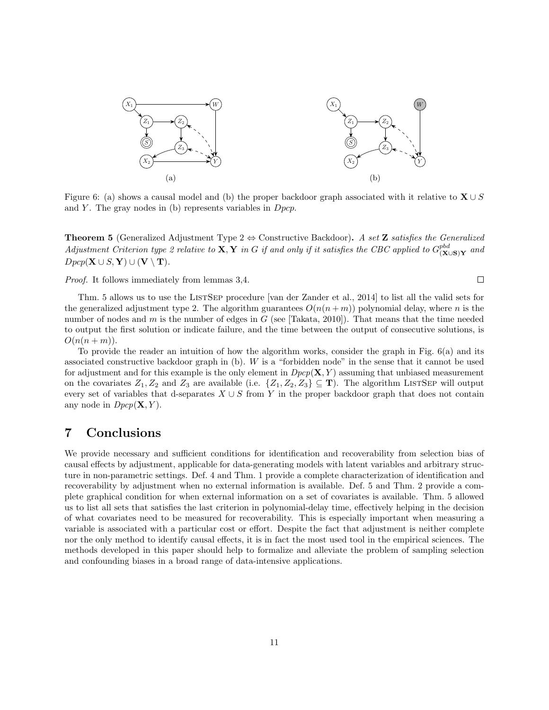

Figure 6: (a) shows a causal model and (b) the proper backdoor graph associated with it relative to  $X \cup S$ and Y. The gray nodes in (b) represents variables in  $Dpcp$ .

**Theorem 5** (Generalized Adjustment Type  $2 \Leftrightarrow$  Constructive Backdoor). A set **Z** satisfies the Generalized Adjustment Criterion type 2 relative to  $X, Y$  in G if and only if it satisfies the CBC applied to  $G_{(X)}^{pbd}$  $\overset{poa}{(\mathbf{X} \cup \mathbf{S})\mathbf{Y}}$  and  $Dpcp(\mathbf{X} \cup S, \mathbf{Y}) \cup (\mathbf{V} \setminus \mathbf{T}).$ 

Proof. It follows immediately from lemmas 3,4.

 $\Box$ 

Thm. 5 allows us to use the LISTSEP procedure [van der Zander et al., 2014] to list all the valid sets for the generalized adjustment type 2. The algorithm guarantees  $O(n(n+m))$  polynomial delay, where n is the number of nodes and m is the number of edges in  $G$  (see [Takata, 2010]). That means that the time needed to output the first solution or indicate failure, and the time between the output of consecutive solutions, is  $O(n(n+m)).$ 

To provide the reader an intuition of how the algorithm works, consider the graph in Fig. 6(a) and its associated constructive backdoor graph in (b). W is a "forbidden node" in the sense that it cannot be used for adjustment and for this example is the only element in  $Dpcp(X, Y)$  assuming that unbiased measurement on the covariates  $Z_1, Z_2$  and  $Z_3$  are available (i.e.  $\{Z_1, Z_2, Z_3\} \subseteq \mathbf{T}$ ). The algorithm LISTSEP will output every set of variables that d-separates  $X \cup S$  from Y in the proper backdoor graph that does not contain any node in  $Dpcp(X, Y)$ .

# 7 Conclusions

We provide necessary and sufficient conditions for identification and recoverability from selection bias of causal effects by adjustment, applicable for data-generating models with latent variables and arbitrary structure in non-parametric settings. Def. 4 and Thm. 1 provide a complete characterization of identification and recoverability by adjustment when no external information is available. Def. 5 and Thm. 2 provide a complete graphical condition for when external information on a set of covariates is available. Thm. 5 allowed us to list all sets that satisfies the last criterion in polynomial-delay time, effectively helping in the decision of what covariates need to be measured for recoverability. This is especially important when measuring a variable is associated with a particular cost or effort. Despite the fact that adjustment is neither complete nor the only method to identify causal effects, it is in fact the most used tool in the empirical sciences. The methods developed in this paper should help to formalize and alleviate the problem of sampling selection and confounding biases in a broad range of data-intensive applications.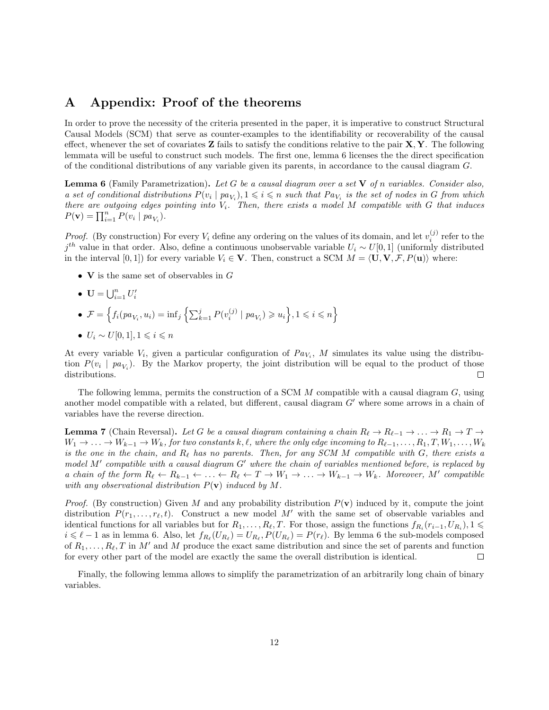## A Appendix: Proof of the theorems

In order to prove the necessity of the criteria presented in the paper, it is imperative to construct Structural Causal Models (SCM) that serve as counter-examples to the identifiability or recoverability of the causal effect, whenever the set of covariates  $\mathbf{Z}$  fails to satisfy the conditions relative to the pair  $\mathbf{X}, \mathbf{Y}$ . The following lemmata will be useful to construct such models. The first one, lemma 6 licenses the the direct specification of the conditional distributions of any variable given its parents, in accordance to the causal diagram G.

**Lemma 6** (Family Parametrization). Let G be a causal diagram over a set  $V$  of n variables. Consider also, a set of conditional distributions  $P(v_i | pa_{V_i}), 1 \leq i \leq n$  such that  $Pa_{V_i}$  is the set of nodes in G from which there are outgoing edges pointing into  $V_i$ . Then, there exists a model M compatible with G that induces  $P(\mathbf{v}) = \prod_{i=1}^{n} P(v_i \mid pa_{V_i}).$ 

*Proof.* (By construction) For every  $V_i$  define any ordering on the values of its domain, and let  $v_i^{(j)}$  refer to the  $j<sup>th</sup>$  value in that order. Also, define a continuous unobservable variable  $U_i \sim U[0, 1]$  (uniformly distributed in the interval [0, 1]) for every variable  $V_i \in \mathbf{V}$ . Then, construct a SCM  $M = \langle \mathbf{U}, \mathbf{V}, \mathcal{F}, P(\mathbf{u}) \rangle$  where:

- **V** is the same set of observables in  $G$
- $\mathbf{U} = \bigcup_{i=1}^n U'_i$
- $\mathcal{F} = \left\{ f_i(p a_{V_i}, u_i) = \inf_j \left\{ \sum_{k=1}^j P(v_i^{(j)} | pa_{V_i}) \geq u_i \right\}, 1 \leq i \leq n \right\}$ •  $U_i \sim U[0,1], 1 \leq i \leq n$

At every variable  $V_i$ , given a particular configuration of  $Pa_{V_i}$ , M simulates its value using the distribution  $P(v_i \mid pa_{V_i})$ . By the Markov property, the joint distribution will be equal to the product of those distributions.  $\Box$ 

The following lemma, permits the construction of a SCM  $M$  compatible with a causal diagram  $G$ , using another model compatible with a related, but different, causal diagram  $G'$  where some arrows in a chain of variables have the reverse direction.

**Lemma 7** (Chain Reversal). Let G be a causal diagram containing a chain  $R_\ell \to R_{\ell-1} \to \ldots \to R_1 \to T \to$  $W_1 \to \ldots \to W_{k-1} \to W_k$ , for two constants k,  $\ell$ , where the only edge incoming to  $R_{\ell-1}, \ldots, R_1, T, W_1, \ldots, W_k$ is the one in the chain, and  $R_\ell$  has no parents. Then, for any SCM M compatible with G, there exists a model  $M'$  compatible with a causal diagram  $G'$  where the chain of variables mentioned before, is replaced by a chain of the form  $R_\ell \leftarrow R_{k-1} \leftarrow \ldots \leftarrow R_\ell \leftarrow T \rightarrow W_1 \rightarrow \ldots \rightarrow W_{k-1} \rightarrow W_k$ . Moreover, M' compatible with any observational distribution  $P(\mathbf{v})$  induced by M.

*Proof.* (By construction) Given M and any probability distribution  $P(\mathbf{v})$  induced by it, compute the joint distribution  $P(r_1, \ldots, r_\ell, t)$ . Construct a new model M' with the same set of observable variables and identical functions for all variables but for  $R_1, \ldots, R_\ell, T$ . For those, assign the functions  $f_{R_i}(r_{i-1}, U_{R_i}), 1 \leq$  $i \leq \ell - 1$  as in lemma 6. Also, let  $f_{R_\ell}(U_{R_\ell}) = U_{R_\ell}, P(U_{R_\ell}) = P(r_\ell)$ . By lemma 6 the sub-models composed of  $R_1, \ldots, R_\ell, T$  in M' and M produce the exact same distribution and since the set of parents and function for every other part of the model are exactly the same the overall distribution is identical.  $\Box$ 

Finally, the following lemma allows to simplify the parametrization of an arbitrarily long chain of binary variables.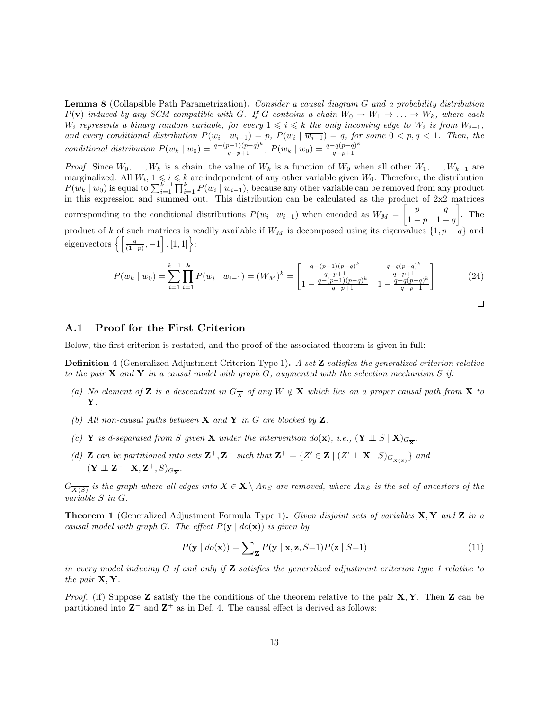Lemma 8 (Collapsible Path Parametrization). Consider a causal diagram G and a probability distribution  $P(\mathbf{v})$  induced by any SCM compatible with G. If G contains a chain  $W_0 \to W_1 \to \ldots \to W_k$ , where each W<sub>i</sub> represents a binary random variable, for every  $1 \leqslant i \leqslant k$  the only incoming edge to W<sub>i</sub> is from  $W_{i-1}$ , and every conditional distribution  $P(w_i | w_{i-1}) = p$ ,  $P(w_i | \overline{w_{i-1}}) = q$ , for some  $0 < p, q < 1$ . Then, the conditional distribution  $P(w_k | w_0) = \frac{q - (p-1)(p-q)^k}{q-p+1}$ ,  $P(w_k | \overline{w_0}) = \frac{q - q(p-q)^k}{q-p+1}$ .

*Proof.* Since  $W_0, \ldots, W_k$  is a chain, the value of  $W_k$  is a function of  $W_0$  when all other  $W_1, \ldots, W_{k-1}$  are marginalized. All  $W_i$ ,  $1 \leq i \leq k$  are independent of any other variable given  $W_0$ . Therefore, the distribution  $P(w_k | w_0)$  is equal to  $\sum_{i=1}^{k-1} \prod_{i=1}^k P(w_i | w_{i-1})$ , because any other variable can be removed from any product in this expression and summed out. This distribution can be calculated as the product of 2x2 matrices corresponding to the conditional distributions  $P(w_i | w_{i-1})$  when encoded as  $W_M = \begin{bmatrix} p & q \\ q & q \end{bmatrix}$  $1-p$  1 – q  $\big]$ . The product of k of such matrices is readily available if  $W_M$  is decomposed using its eigenvalues  $\{1, p - q\}$  and eigenvectors  $\left\{ \left\lceil \frac{q}{(1-p)}, -1 \right\rceil, [1, 1] \right\}$ :

$$
P(w_k | w_0) = \sum_{i=1}^{k-1} \prod_{i=1}^k P(w_i | w_{i-1}) = (W_M)^k = \begin{bmatrix} \frac{q - (p-1)(p-q)^k}{q - p + 1} & \frac{q - q(p-q)^k}{q - p + 1} \\ 1 - \frac{q - (p-1)(p-q)^k}{q - p + 1} & 1 - \frac{q - q(p-q)^k}{q - p + 1} \end{bmatrix}
$$
(24)

$$
\qquad \qquad \Box
$$

#### A.1 Proof for the First Criterion

Below, the first criterion is restated, and the proof of the associated theorem is given in full:

**Definition 4** (Generalized Adjustment Criterion Type 1). A set **Z** satisfies the generalized criterion relative to the pair  $X$  and  $Y$  in a causal model with graph  $G$ , augmented with the selection mechanism  $S$  if:

- (a) No element of Z is a descendant in  $G_{\overline{X}}$  of any  $W \notin X$  which lies on a proper causal path from X to Y.
- (b) All non-causal paths between  $X$  and  $Y$  in G are blocked by  $Z$ .
- (c) Y is d-separated from S given X under the intervention do(x), i.e.,  $(Y \perp\!\!\!\perp S \mid X)_{G_{\overline{X}}}$ .
- (d) **Z** can be partitioned into sets  $\mathbf{Z}^+$ ,  $\mathbf{Z}^-$  such that  $\mathbf{Z}^+ = \{Z' \in \mathbf{Z} \mid (Z' \perp \mathbf{X} \mid S)_{G_{\overline{X(S)}}}\}$  and  $(\mathbf{Y} \perp \!\!\! \perp \mathbf{Z}^- \mid \mathbf{X}, \mathbf{Z}^+, S)_{G_{\overline{\mathbf{X}}}}.$

 $G_{\overline{X(S)}}$  is the graph where all edges into  $X\in \mathbf{X}\setminus An_S$  are removed, where  $An_S$  is the set of ancestors of the variable S in G.

**Theorem 1** (Generalized Adjustment Formula Type 1). Given disjoint sets of variables  $X, Y$  and  $Z$  in a causal model with graph G. The effect  $P(\mathbf{y} \mid do(\mathbf{x}))$  is given by

$$
P(\mathbf{y} \mid \text{do}(\mathbf{x})) = \sum_{\mathbf{z}} P(\mathbf{y} \mid \mathbf{x}, \mathbf{z}, S=1) P(\mathbf{z} \mid S=1)
$$
\n(11)

in every model inducing G if and only if  $Z$  satisfies the generalized adjustment criterion type 1 relative to the pair  $X, Y$ .

*Proof.* (if) Suppose **Z** satisfy the the conditions of the theorem relative to the pair  $X, Y$ . Then **Z** can be partitioned into  $\mathbb{Z}^-$  and  $\mathbb{Z}^+$  as in Def. 4. The causal effect is derived as follows: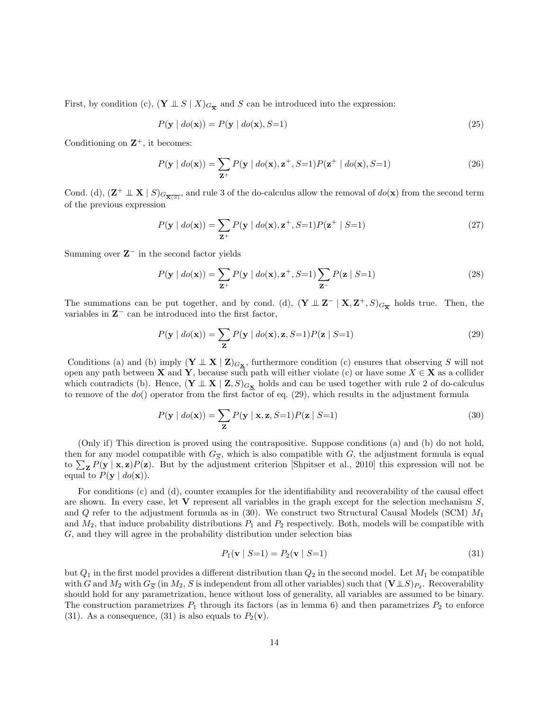First, by condition (c),  $(Y \perp\!\!\!\perp S \mid X)_{G_{\overline{\mathbf{X}}}}$  and S can be introduced into the expression:

$$
P(\mathbf{y} \mid \text{do}(\mathbf{x})) = P(\mathbf{y} \mid \text{do}(\mathbf{x}), S=1)
$$
\n
$$
(25)
$$

Conditioning on  $\mathbb{Z}^+$ , it becomes:

$$
P(\mathbf{y} \mid do(\mathbf{x})) = \sum_{\mathbf{Z}^+} P(\mathbf{y} \mid do(\mathbf{x}), \mathbf{z}^+, S=1) P(\mathbf{z}^+ \mid do(\mathbf{x}), S=1)
$$
\n(26)

Cond. (d),  $(\mathbf{Z}^+ \perp \mathbf{X} | S)_{G_{\overline{\mathbf{X}(S)}}}$ , and rule 3 of the do-calculus allow the removal of  $do(\mathbf{x})$  from the second term of the previous expression

$$
P(\mathbf{y} \mid do(\mathbf{x})) = \sum_{\mathbf{Z}^+} P(\mathbf{y} \mid do(\mathbf{x}), \mathbf{z}^+, S=1) P(\mathbf{z}^+ \mid S=1)
$$
\n(27)

Summing over  $Z^-$  in the second factor yields

$$
P(\mathbf{y} \mid do(\mathbf{x})) = \sum_{\mathbf{Z}^+} P(\mathbf{y} \mid do(\mathbf{x}), \mathbf{z}^+, S=1) \sum_{\mathbf{Z}^-} P(\mathbf{z} \mid S=1)
$$
 (28)

The summations can be put together, and by cond. (d),  $(Y \perp Z^- | X, Z^+, S)_{G_{\overline{X}}}$  holds true. Then, the variables in  $Z^-$  can be introduced into the first factor,

$$
P(\mathbf{y} \mid \text{do}(\mathbf{x})) = \sum_{\mathbf{Z}} P(\mathbf{y} \mid \text{do}(\mathbf{x}), \mathbf{z}, S=1) P(\mathbf{z} \mid S=1)
$$
\n(29)

Conditions (a) and (b) imply  $(\mathbf{Y} \perp \mathbf{X} | \mathbf{Z})_{G_{\mathbf{X}}}$ , furthermore condition (c) ensures that observing S will not open any path between **X** and **Y**, because such path will either violate (c) or have some  $X \in \mathbf{X}$  as a collider which contradicts (b). Hence,  $(\mathbf{Y} \perp \mathbf{X} \mid \mathbf{Z}, S)_{G_{\mathbf{X}}}$  holds and can be used together with rule 2 of do-calculus to remove of the  $do()$  operator from the first factor of eq. (29), which results in the adjustment formula

$$
P(\mathbf{y} \mid do(\mathbf{x})) = \sum_{\mathbf{Z}} P(\mathbf{y} \mid \mathbf{x}, \mathbf{z}, S=1) P(\mathbf{z} \mid S=1)
$$
\n(30)

(Only if) This direction is proved using the contrapositive. Suppose conditions (a) and (b) do not hold, then for any model compatible with  $G_{\overline{S}}$ , which is also compatible with G, the adjustment formula is equal to  $\sum_{\mathbf{Z}} P(\mathbf{y} \mid \mathbf{x}, \mathbf{z}) P(\mathbf{z})$ . But by the adjustment criterion [Shpitser et al., 2010] this expression will not be equal to  $P(\mathbf{y} \mid do(\mathbf{x})).$ 

For conditions (c) and (d), counter examples for the identifiability and recoverability of the causal effect are shown. In every case, let  $V$  represent all variables in the graph except for the selection mechanism  $S$ . and  $Q$  refer to the adjustment formula as in (30). We construct two Structural Causal Models (SCM)  $M_1$ and  $M_2$ , that induce probability distributions  $P_1$  and  $P_2$  respectively. Both, models will be compatible with G, and they will agree in the probability distribution under selection bias

$$
P_1(\mathbf{v} \mid S=1) = P_2(\mathbf{v} \mid S=1) \tag{31}
$$

but  $Q_1$  in the first model provides a different distribution than  $Q_2$  in the second model. Let  $M_1$  be compatible with G and  $M_2$  with  $G_{\overline{S}}$  (in  $M_2$ , S is independent from all other variables) such that  $(\mathbf{V} \perp S)_{P_2}$ . Recoverability should hold for any parametrization, hence without loss of generality, all variables are assumed to be binary. The construction parametrizes  $P_1$  through its factors (as in lemma 6) and then parametrizes  $P_2$  to enforce (31). As a consequence, (31) is also equals to  $P_2(\mathbf{v})$ .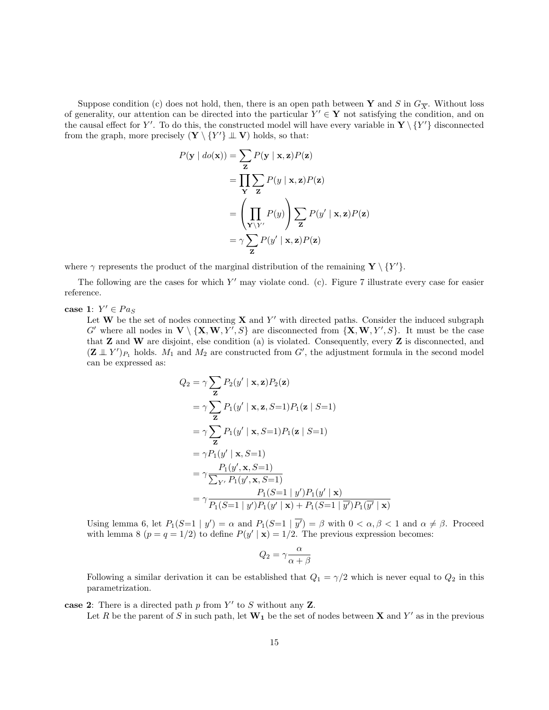Suppose condition (c) does not hold, then, there is an open path between Y and S in  $G_{\overline{X}}$ . Without loss of generality, our attention can be directed into the particular  $Y' \in Y$  not satisfying the condition, and on the causal effect for Y'. To do this, the constructed model will have every variable in  $\mathbf{Y} \setminus \{Y'\}$  disconnected from the graph, more precisely  $(\mathbf{Y} \setminus \{Y'\} \perp \mathbf{V})$  holds, so that:

$$
P(\mathbf{y} \mid do(\mathbf{x})) = \sum_{\mathbf{z}} P(\mathbf{y} \mid \mathbf{x}, \mathbf{z}) P(\mathbf{z})
$$
  
= 
$$
\prod_{\mathbf{Y}} \sum_{\mathbf{z}} P(y \mid \mathbf{x}, \mathbf{z}) P(\mathbf{z})
$$
  
= 
$$
\left(\prod_{\mathbf{Y} \setminus Y'} P(y)\right) \sum_{\mathbf{z}} P(y' \mid \mathbf{x}, \mathbf{z}) P(\mathbf{z})
$$
  
= 
$$
\gamma \sum_{\mathbf{z}} P(y' \mid \mathbf{x}, \mathbf{z}) P(\mathbf{z})
$$

where  $\gamma$  represents the product of the marginal distribution of the remaining  $\mathbf{Y} \setminus \{Y'\}.$ 

The following are the cases for which  $Y'$  may violate cond. (c). Figure 7 illustrate every case for easier reference.

case 1:  $Y' \in Pa_S$ 

Let W be the set of nodes connecting  $X$  and  $Y'$  with directed paths. Consider the induced subgraph G' where all nodes in  $V \setminus \{X, W, Y', S\}$  are disconnected from  $\{X, W, Y', S\}$ . It must be the case that Z and W are disjoint, else condition (a) is violated. Consequently, every Z is disconnected, and  $(\mathbf{Z} \perp \!\!\!\perp Y')_{P_1}$  holds.  $M_1$  and  $M_2$  are constructed from G', the adjustment formula in the second model can be expressed as:

$$
Q_2 = \gamma \sum_{\mathbf{Z}} P_2(y' | \mathbf{x}, \mathbf{z}) P_2(\mathbf{z})
$$
  
\n
$$
= \gamma \sum_{\mathbf{Z}} P_1(y' | \mathbf{x}, \mathbf{z}, S=1) P_1(\mathbf{z} | S=1)
$$
  
\n
$$
= \gamma \sum_{\mathbf{Z}} P_1(y' | \mathbf{x}, S=1) P_1(\mathbf{z} | S=1)
$$
  
\n
$$
= \gamma P_1(y' | \mathbf{x}, S=1)
$$
  
\n
$$
= \gamma \frac{P_1(y', \mathbf{x}, S=1)}{\sum_{Y'} P_1(y', \mathbf{x}, S=1)}
$$
  
\n
$$
= \gamma \frac{P_1(S=1 | y') P_1(y' | \mathbf{x})}{P_1(S=1 | y') P_1(y' | \mathbf{x}) + P_1(S=1 | y') P_1(y' | \mathbf{x})}
$$

Using lemma 6, let  $P_1(S=1 | y') = \alpha$  and  $P_1(S=1 | \overline{y'}) = \beta$  with  $0 < \alpha, \beta < 1$  and  $\alpha \neq \beta$ . Proceed with lemma 8  $(p = q = 1/2)$  to define  $P(y' | x) = 1/2$ . The previous expression becomes:

$$
Q_2 = \gamma \frac{\alpha}{\alpha + \beta}
$$

Following a similar derivation it can be established that  $Q_1 = \gamma/2$  which is never equal to  $Q_2$  in this parametrization.

case 2: There is a directed path  $p$  from  $Y'$  to  $S$  without any  $Z$ .

Let R be the parent of S in such path, let  $W_1$  be the set of nodes between X and Y' as in the previous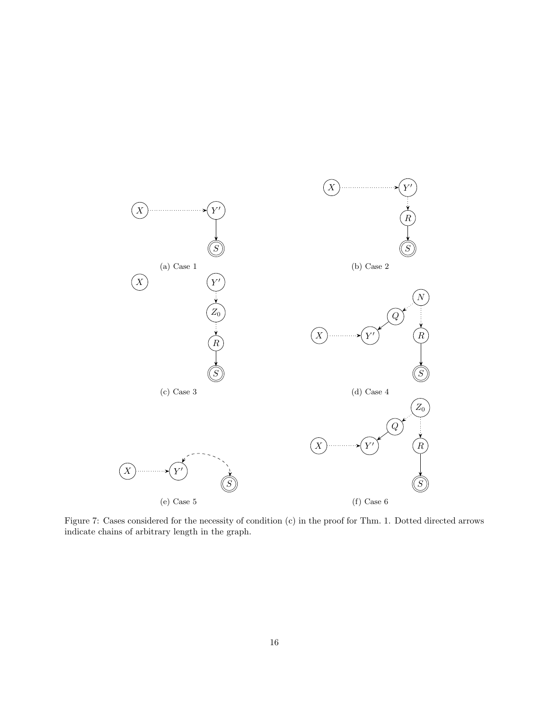

Figure 7: Cases considered for the necessity of condition (c) in the proof for Thm. 1. Dotted directed arrows indicate chains of arbitrary length in the graph.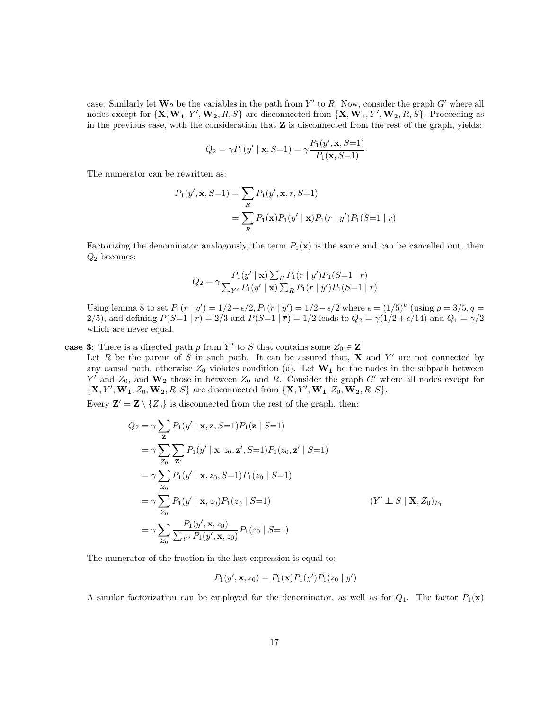case. Similarly let  $W_2$  be the variables in the path from Y' to R. Now, consider the graph G' where all nodes except for  $\{X, W_1, Y', W_2, R, S\}$  are disconnected from  $\{X, W_1, Y', W_2, R, S\}$ . Proceeding as in the previous case, with the consideration that  $Z$  is disconnected from the rest of the graph, yields:

$$
Q_2 = \gamma P_1(y' \mid \mathbf{x}, S=1) = \gamma \frac{P_1(y', \mathbf{x}, S=1)}{P_1(\mathbf{x}, S=1)}
$$

The numerator can be rewritten as:

$$
P_1(y', \mathbf{x}, S=1) = \sum_R P_1(y', \mathbf{x}, r, S=1)
$$
  
= 
$$
\sum_R P_1(\mathbf{x}) P_1(y' | \mathbf{x}) P_1(r | y') P_1(S=1 | r)
$$

Factorizing the denominator analogously, the term  $P_1(\mathbf{x})$  is the same and can be cancelled out, then  $Q_2$  becomes:

$$
Q_2 = \gamma \frac{P_1(y' \mid \mathbf{x}) \sum_R P_1(r \mid y') P_1(S=1 \mid r)}{\sum_{Y'} P_1(y' \mid \mathbf{x}) \sum_R P_1(r \mid y') P_1(S=1 \mid r)}
$$

Using lemma 8 to set  $P_1(r | y') = 1/2 + \epsilon/2$ ,  $P_1(r | \overline{y'}) = 1/2 - \epsilon/2$  where  $\epsilon = (1/5)^k$  (using  $p = 3/5$ ,  $q =$ 2/5), and defining  $P(S=1 | r) = 2/3$  and  $P(S=1 | \bar{r}) = 1/2$  leads to  $Q_2 = \gamma(1/2 + \epsilon/14)$  and  $Q_1 = \gamma/2$ which are never equal.

case 3: There is a directed path p from Y' to S that contains some  $Z_0 \in \mathbb{Z}$ Let R be the parent of S in such path. It can be assured that,  $X$  and Y' are not connected by any causal path, otherwise  $Z_0$  violates condition (a). Let  $W_1$  be the nodes in the subpath between Y' and  $Z_0$ , and  $\mathbf{W_2}$  those in between  $Z_0$  and R. Consider the graph G' where all nodes except for  ${ \{X, Y', W_1, Z_0, W_2, R, S\}}$  are disconnected from  ${ \{X, Y', W_1, Z_0, W_2, R, S\}}$ .

Every  $\mathbf{Z}' = \mathbf{Z} \setminus \{Z_0\}$  is disconnected from the rest of the graph, then:

$$
Q_2 = \gamma \sum_{\mathbf{Z}} P_1(y' | \mathbf{x}, \mathbf{z}, S=1) P_1(\mathbf{z} | S=1)
$$
  
\n
$$
= \gamma \sum_{Z_0} \sum_{\mathbf{Z}'} P_1(y' | \mathbf{x}, z_0, \mathbf{z}', S=1) P_1(z_0, \mathbf{z}' | S=1)
$$
  
\n
$$
= \gamma \sum_{Z_0} P_1(y' | \mathbf{x}, z_0, S=1) P_1(z_0 | S=1)
$$
  
\n
$$
= \gamma \sum_{Z_0} P_1(y' | \mathbf{x}, z_0) P_1(z_0 | S=1)
$$
  
\n
$$
= \gamma \sum_{Z_0} \frac{P_1(y', \mathbf{x}, z_0)}{\sum_{Y'} P_1(y', \mathbf{x}, z_0)} P_1(z_0 | S=1)
$$
 (Y'  $\perp S | \mathbf{X}, Z_0) P_1$ 

The numerator of the fraction in the last expression is equal to:

$$
P_1(y', \mathbf{x}, z_0) = P_1(\mathbf{x}) P_1(y') P_1(z_0 \mid y')
$$

A similar factorization can be employed for the denominator, as well as for  $Q_1$ . The factor  $P_1(\mathbf{x})$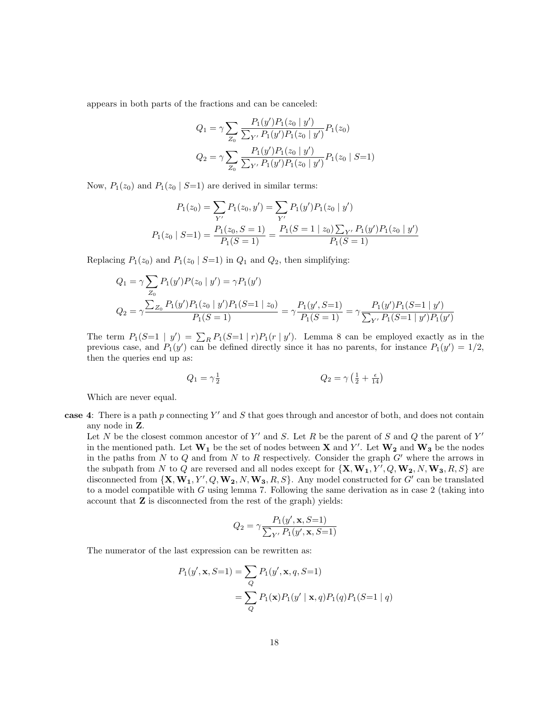appears in both parts of the fractions and can be canceled:

$$
Q_1 = \gamma \sum_{Z_0} \frac{P_1(y')P_1(z_0 \mid y')}{\sum_{Y'} P_1(y')P_1(z_0 \mid y')} P_1(z_0)
$$

$$
Q_2 = \gamma \sum_{Z_0} \frac{P_1(y')P_1(z_0 \mid y')}{\sum_{Y'} P_1(y')P_1(z_0 \mid y')} P_1(z_0 \mid S=1)
$$

Now,  $P_1(z_0)$  and  $P_1(z_0 | S=1)$  are derived in similar terms:

$$
P_1(z_0) = \sum_{Y'} P_1(z_0, y') = \sum_{Y'} P_1(y') P_1(z_0 | y')
$$
  

$$
P_1(z_0 | S=1) = \frac{P_1(z_0, S=1)}{P_1(S=1)} = \frac{P_1(S=1 | z_0) \sum_{Y'} P_1(y') P_1(z_0 | y')}{P_1(S=1)}
$$

Replacing  $P_1(z_0)$  and  $P_1(z_0 | S=1)$  in  $Q_1$  and  $Q_2$ , then simplifying:

$$
Q_1 = \gamma \sum_{Z_0} P_1(y')P(z_0 | y') = \gamma P_1(y')
$$
  
\n
$$
Q_2 = \gamma \frac{\sum_{Z_0} P_1(y')P_1(z_0 | y')P_1(S=1 | z_0)}{P_1(S=1)} = \gamma \frac{P_1(y', S=1)}{P_1(S=1)} = \gamma \frac{P_1(y')P_1(S=1 | y')}{\sum_{Y'} P_1(S=1 | y')P_1(y')}
$$

The term  $P_1(S=1 | y') = \sum_R P_1(S=1 | r)P_1(r | y')$ . Lemma 8 can be employed exactly as in the previous case, and  $P_1(y')$  can be defined directly since it has no parents, for instance  $P_1(y') = 1/2$ , then the queries end up as:

$$
Q_1 = \gamma \frac{1}{2} \qquad \qquad Q_2 = \gamma \left( \frac{1}{2} + \frac{\epsilon}{14} \right)
$$

Which are never equal.

case 4: There is a path  $p$  connecting  $Y'$  and  $S$  that goes through and ancestor of both, and does not contain any node in Z.

Let N be the closest common ancestor of Y' and S. Let R be the parent of S and Q the parent of Y' in the mentioned path. Let  $W_1$  be the set of nodes between **X** and Y'. Let  $W_2$  and  $W_3$  be the nodes in the paths from  $N$  to  $Q$  and from  $N$  to  $R$  respectively. Consider the graph  $G'$  where the arrows in the subpath from N to Q are reversed and all nodes except for  $\{X, W_1, Y', Q, W_2, N, W_3, R, S\}$  are disconnected from  $\{X, W_1, Y', Q, W_2, N, W_3, R, S\}$ . Any model constructed for  $G'$  can be translated to a model compatible with  $G$  using lemma 7. Following the same derivation as in case 2 (taking into account that Z is disconnected from the rest of the graph) yields:

$$
Q_2 = \gamma \frac{P_1(y',\mathbf{x},S=1)}{\sum_{Y'} P_1(y',\mathbf{x},S=1)}
$$

The numerator of the last expression can be rewritten as:

$$
P_1(y', \mathbf{x}, S=1) = \sum_{Q} P_1(y', \mathbf{x}, q, S=1)
$$
  
= 
$$
\sum_{Q} P_1(\mathbf{x}) P_1(y' | \mathbf{x}, q) P_1(q) P_1(S=1 | q)
$$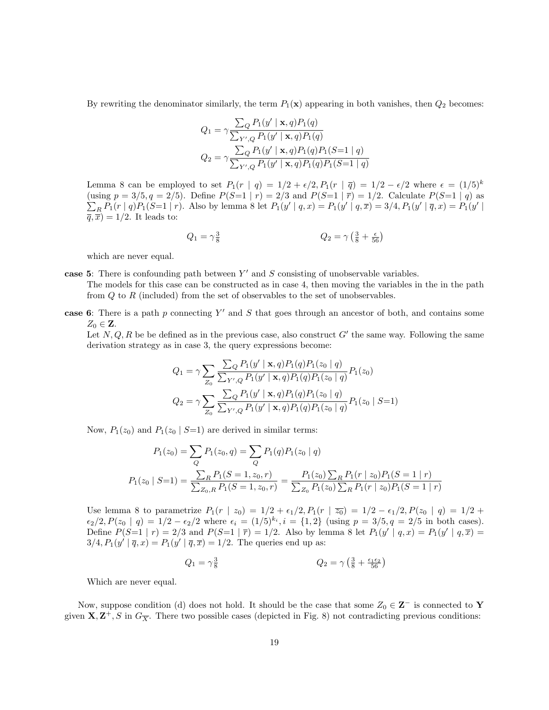By rewriting the denominator similarly, the term  $P_1(\mathbf{x})$  appearing in both vanishes, then  $Q_2$  becomes:

$$
Q_1 = \gamma \frac{\sum_{Q} P_1(y' \mid \mathbf{x}, q) P_1(q)}{\sum_{Y', Q} P_1(y' \mid \mathbf{x}, q) P_1(q)}
$$
  

$$
Q_2 = \gamma \frac{\sum_{Q} P_1(y' \mid \mathbf{x}, q) P_1(q) P_1(S=1 \mid q)}{\sum_{Y', Q} P_1(y' \mid \mathbf{x}, q) P_1(q) P_1(S=1 \mid q)}
$$

Lemma 8 can be employed to set  $P_1(r | q) = 1/2 + \epsilon/2$ ,  $P_1(r | \bar{q}) = 1/2 - \epsilon/2$  where  $\epsilon = (1/5)^k$ (using  $p = 3/5, q = 2/5$ ). Define  $P(S=1 | r) = 2/3$  and  $P(S=1 | \bar{r}) = 1/2$ . Calculate  $P(S=1 | q)$  as  $\sum_{R} P_1(r | q) P_1(S=1 | r)$ . Also by lemma 8 let  $P_1(y' | q, x) = P_1(y' | q, \overline{x}) = 3/4$ ,  $P_1(y' | \overline{q}, x) = P_1(y' | \overline{q}, x)$  $\overline{q}, \overline{x}$  = 1/2. It leads to:

$$
Q_1 = \gamma \frac{3}{8} \qquad \qquad Q_2 = \gamma \left(\frac{3}{8} + \frac{\epsilon}{56}\right)
$$

which are never equal.

case 5: There is confounding path between  $Y'$  and  $S$  consisting of unobservable variables. The models for this case can be constructed as in case 4, then moving the variables in the in the path from  $Q$  to  $R$  (included) from the set of observables to the set of unobservables.

case 6: There is a path  $p$  connecting  $Y'$  and  $S$  that goes through an ancestor of both, and contains some  $Z_0 \in \mathbf{Z}$ .

Let  $N, Q, R$  be be defined as in the previous case, also construct G' the same way. Following the same derivation strategy as in case 3, the query expressions become:

$$
Q_1 = \gamma \sum_{Z_0} \frac{\sum_{Q} P_1(y' \mid \mathbf{x}, q) P_1(q) P_1(z_0 \mid q)}{\sum_{Y',Q} P_1(y' \mid \mathbf{x}, q) P_1(q) P_1(z_0 \mid q)} P_1(z_0)
$$
  

$$
Q_2 = \gamma \sum_{Z_0} \frac{\sum_{Q} P_1(y' \mid \mathbf{x}, q) P_1(q) P_1(z_0 \mid q)}{\sum_{Y',Q} P_1(y' \mid \mathbf{x}, q) P_1(q) P_1(z_0 \mid q)} P_1(z_0 \mid S=1)
$$

Now,  $P_1(z_0)$  and  $P_1(z_0 | S=1)$  are derived in similar terms:

$$
P_1(z_0) = \sum_{Q} P_1(z_0, q) = \sum_{Q} P_1(q) P_1(z_0 | q)
$$
  

$$
P_1(z_0 | S=1) = \frac{\sum_{R} P_1(S=1, z_0, r)}{\sum_{Z_0, R} P_1(S=1, z_0, r)} = \frac{P_1(z_0) \sum_{R} P_1(r | z_0) P_1(S=1 | r)}{\sum_{Z_0} P_1(z_0) \sum_{R} P_1(r | z_0) P_1(S=1 | r)}
$$

Use lemma 8 to parametrize  $P_1(r \mid z_0) = 1/2 + \epsilon_1/2, P_1(r \mid \overline{z_0}) = 1/2 - \epsilon_1/2, P(z_0 \mid q) = 1/2 +$  $\epsilon_2/2, P(z_0 | q) = 1/2 - \epsilon_2/2$  where  $\epsilon_i = (1/5)^{k_i}, i = \{1, 2\}$  (using  $p = 3/5, q = 2/5$  in both cases). Define  $P(S=1 | r) = 2/3$  and  $P(S=1 | \bar{r}) = 1/2$ . Also by lemma 8 let  $P_1(y' | q, x) = P_1(y' | q, \bar{x}) =$  $3/4$ ,  $P_1(y' | \overline{q}, x) = P_1(y' | \overline{q}, \overline{x}) = 1/2$ . The queries end up as:

$$
Q_1 = \gamma \frac{3}{8} \qquad \qquad Q_2 = \gamma \left(\frac{3}{8} + \frac{\epsilon_1 \epsilon_2}{56}\right)
$$

Which are never equal.

Now, suppose condition (d) does not hold. It should be the case that some  $Z_0 \in \mathbb{Z}^-$  is connected to Y given  $X, Z^+, S$  in  $G_{\overline{X}}$ . There two possible cases (depicted in Fig. 8) not contradicting previous conditions: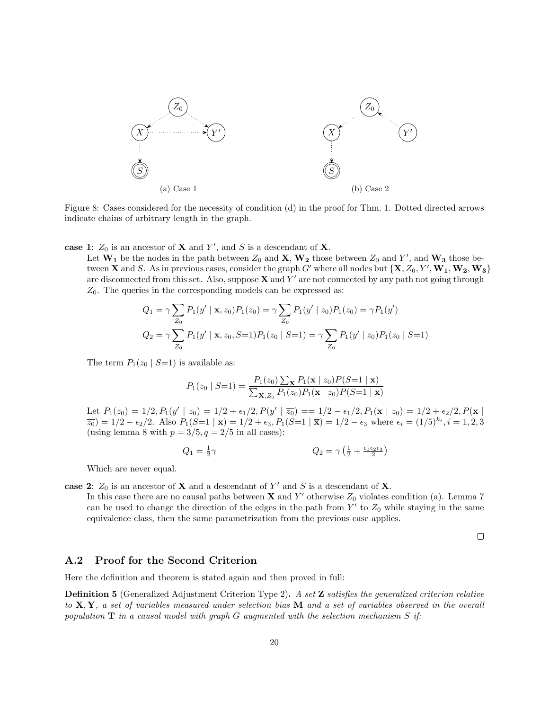

Figure 8: Cases considered for the necessity of condition (d) in the proof for Thm. 1. Dotted directed arrows indicate chains of arbitrary length in the graph.

case 1:  $Z_0$  is an ancestor of **X** and Y', and S is a descendant of **X**.

Let  $W_1$  be the nodes in the path between  $Z_0$  and  $X$ ,  $W_2$  those between  $Z_0$  and  $Y'$ , and  $W_3$  those between **X** and S. As in previous cases, consider the graph G' where all nodes but  $\{X, Z_0, Y', W_1, W_2, W_3\}$ are disconnected from this set. Also, suppose  $X$  and  $Y'$  are not connected by any path not going through  $Z_0$ . The queries in the corresponding models can be expressed as:

$$
Q_1 = \gamma \sum_{Z_0} P_1(y' \mid \mathbf{x}, z_0) P_1(z_0) = \gamma \sum_{Z_0} P_1(y' \mid z_0) P_1(z_0) = \gamma P_1(y')
$$
  

$$
Q_2 = \gamma \sum_{Z_0} P_1(y' \mid \mathbf{x}, z_0, S=1) P_1(z_0 \mid S=1) = \gamma \sum_{Z_0} P_1(y' \mid z_0) P_1(z_0 \mid S=1)
$$

The term  $P_1(z_0 \mid S=1)$  is available as:

$$
P_1(z_0 \mid S=1) = \frac{P_1(z_0) \sum_{\mathbf{x}} P_1(\mathbf{x} \mid z_0) P(S=1 \mid \mathbf{x})}{\sum_{\mathbf{x}, z_0} P_1(z_0) P_1(\mathbf{x} \mid z_0) P(S=1 \mid \mathbf{x})}
$$

Let  $P_1(z_0) = 1/2, P_1(y' \mid z_0) = 1/2 + \epsilon_1/2, P(y' \mid \overline{z_0}) = 1/2 - \epsilon_1/2, P_1(\mathbf{x} \mid z_0) = 1/2 + \epsilon_2/2, P(\mathbf{x} \mid z_0) = 1/2$  $\overline{z_0}$  = 1/2 –  $\epsilon_2/2$ . Also  $P_1(S=1 \mid \mathbf{x}) = 1/2 + \epsilon_3$ ,  $P_1(S=1 \mid \overline{\mathbf{x}}) = 1/2 - \epsilon_3$  where  $\epsilon_i = (1/5)^{k_i}$ ,  $i = 1, 2, 3$ (using lemma 8 with  $p = 3/5, q = 2/5$  in all cases):

$$
Q_1 = \frac{1}{2}\gamma \qquad \qquad Q_2 = \gamma \left(\frac{1}{2} + \frac{\epsilon_1 \epsilon_2 \epsilon_3}{2}\right)
$$

Which are never equal.

case 2:  $Z_0$  is an ancestor of **X** and a descendant of Y' and S is a descendant of **X**.

In this case there are no causal paths between  $X$  and  $Y'$  otherwise  $Z_0$  violates condition (a). Lemma 7 can be used to change the direction of the edges in the path from  $Y'$  to  $Z_0$  while staying in the same equivalence class, then the same parametrization from the previous case applies.

 $\Box$ 

#### A.2 Proof for the Second Criterion

Here the definition and theorem is stated again and then proved in full:

Definition 5 (Generalized Adjustment Criterion Type 2). A set Z satisfies the generalized criterion relative to  $X, Y$ , a set of variables measured under selection bias M and a set of variables observed in the overall population  $T$  in a causal model with graph G augmented with the selection mechanism S if: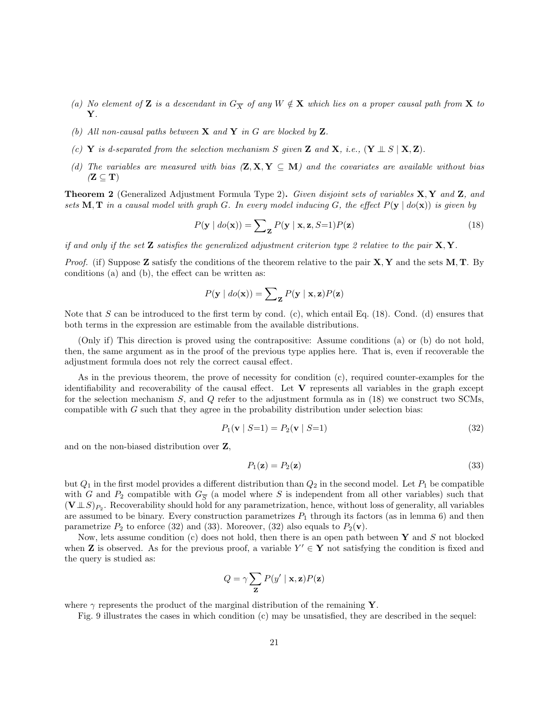- (a) No element of Z is a descendant in  $G_{\overline{X}}$  of any  $W \notin X$  which lies on a proper causal path from X to Y.
- (b) All non-causal paths between  $X$  and  $Y$  in  $G$  are blocked by  $Z$ .
- (c) Y is d-separated from the selection mechanism S given Z and X, i.e.,  $(Y \perp S \mid X, Z)$ .
- (d) The variables are measured with bias  $(\mathbf{Z}, \mathbf{X}, \mathbf{Y} \subseteq \mathbf{M})$  and the covariates are available without bias  $(Z \subseteq T)$

**Theorem 2** (Generalized Adjustment Formula Type 2). Given disjoint sets of variables  $X, Y$  and  $Z$ , and sets M, T in a causal model with graph G. In every model inducing G, the effect  $P(y | do(x))$  is given by

$$
P(\mathbf{y} \mid \text{do}(\mathbf{x})) = \sum_{\mathbf{Z}} P(\mathbf{y} \mid \mathbf{x}, \mathbf{z}, S=1) P(\mathbf{z}) \tag{18}
$$

if and only if the set **Z** satisfies the generalized adjustment criterion type 2 relative to the pair  $X, Y$ .

*Proof.* (if) Suppose **Z** satisfy the conditions of the theorem relative to the pair  $X, Y$  and the sets  $M, T$ . By conditions (a) and (b), the effect can be written as:

$$
P(\mathbf{y} \mid \textit{do}(\mathbf{x})) = \sum_{\mathbf{Z}} P(\mathbf{y} \mid \mathbf{x}, \mathbf{z}) P(\mathbf{z})
$$

Note that S can be introduced to the first term by cond. (c), which entail Eq. (18). Cond. (d) ensures that both terms in the expression are estimable from the available distributions.

(Only if) This direction is proved using the contrapositive: Assume conditions (a) or (b) do not hold, then, the same argument as in the proof of the previous type applies here. That is, even if recoverable the adjustment formula does not rely the correct causal effect.

As in the previous theorem, the prove of necessity for condition (c), required counter-examples for the identifiability and recoverability of the causal effect. Let  $V$  represents all variables in the graph except for the selection mechanism S, and Q refer to the adjustment formula as in (18) we construct two SCMs, compatible with  $G$  such that they agree in the probability distribution under selection bias:

$$
P_1(\mathbf{v} \mid S=1) = P_2(\mathbf{v} \mid S=1) \tag{32}
$$

and on the non-biased distribution over Z,

$$
P_1(\mathbf{z}) = P_2(\mathbf{z}) \tag{33}
$$

but  $Q_1$  in the first model provides a different distribution than  $Q_2$  in the second model. Let  $P_1$  be compatible with G and  $P_2$  compatible with  $G_{\overline{S}}$  (a model where S is independent from all other variables) such that  $(V \perp S)_{P_2}$ . Recoverability should hold for any parametrization, hence, without loss of generality, all variables are assumed to be binary. Every construction parametrizes  $P_1$  through its factors (as in lemma 6) and then parametrize  $P_2$  to enforce (32) and (33). Moreover, (32) also equals to  $P_2(\mathbf{v})$ .

Now, lets assume condition (c) does not hold, then there is an open path between  $\mathbf Y$  and  $S$  not blocked when **Z** is observed. As for the previous proof, a variable  $Y' \in Y$  not satisfying the condition is fixed and the query is studied as:

$$
Q = \gamma \sum_{\mathbf{Z}} P(y' | \mathbf{x}, \mathbf{z}) P(\mathbf{z})
$$

where  $\gamma$  represents the product of the marginal distribution of the remaining Y.

Fig. 9 illustrates the cases in which condition (c) may be unsatisfied, they are described in the sequel: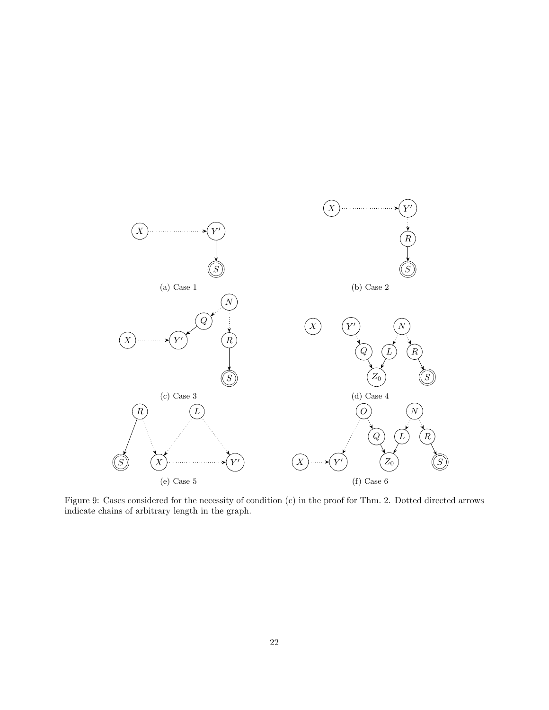

Figure 9: Cases considered for the necessity of condition (c) in the proof for Thm. 2. Dotted directed arrows indicate chains of arbitrary length in the graph.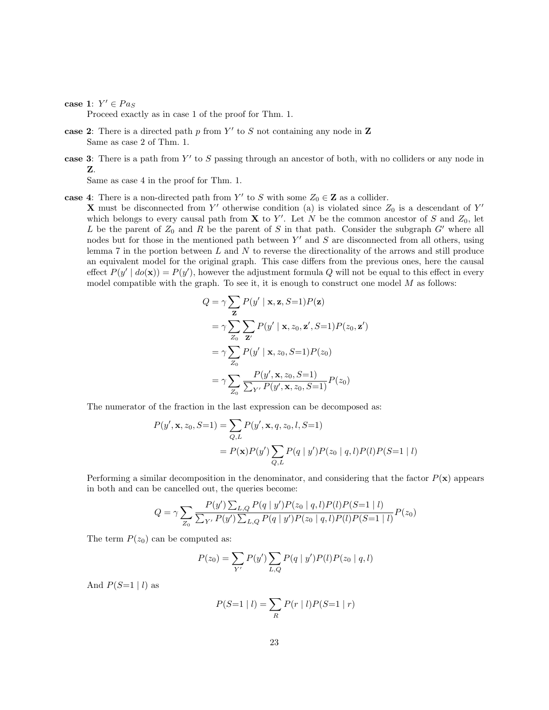case 1:  $Y' \in Pa_S$ 

Proceed exactly as in case 1 of the proof for Thm. 1.

- case 2: There is a directed path  $p$  from  $Y'$  to  $S$  not containing any node in  $\mathbf Z$ Same as case 2 of Thm. 1.
- case 3: There is a path from  $Y'$  to S passing through an ancestor of both, with no colliders or any node in Z.

Same as case 4 in the proof for Thm. 1.

case 4: There is a non-directed path from Y' to S with some  $Z_0 \in \mathbb{Z}$  as a collider.

**X** must be disconnected from Y' otherwise condition (a) is violated since  $Z_0$  is a descendant of Y' which belongs to every causal path from **X** to Y'. Let N be the common ancestor of S and  $Z_0$ , let L be the parent of  $Z_0$  and R be the parent of S in that path. Consider the subgraph G' where all nodes but for those in the mentioned path between  $Y'$  and  $S$  are disconnected from all others, using lemma 7 in the portion between  $L$  and  $N$  to reverse the directionality of the arrows and still produce an equivalent model for the original graph. This case differs from the previous ones, here the causal effect  $P(y' | do(\mathbf{x})) = P(y')$ , however the adjustment formula Q will not be equal to this effect in every model compatible with the graph. To see it, it is enough to construct one model  $M$  as follows:

$$
Q = \gamma \sum_{\mathbf{Z}} P(y' | \mathbf{x}, \mathbf{z}, S=1) P(\mathbf{z})
$$
  
=  $\gamma \sum_{Z_0} \sum_{\mathbf{Z}'} P(y' | \mathbf{x}, z_0, \mathbf{z}', S=1) P(z_0, \mathbf{z}')$   
=  $\gamma \sum_{Z_0} P(y' | \mathbf{x}, z_0, S=1) P(z_0)$   
=  $\gamma \sum_{Z_0} \frac{P(y', \mathbf{x}, z_0, S=1)}{\sum_{Y'} P(y', \mathbf{x}, z_0, S=1)} P(z_0)$ 

The numerator of the fraction in the last expression can be decomposed as:

$$
P(y', \mathbf{x}, z_0, S=1) = \sum_{Q, L} P(y', \mathbf{x}, q, z_0, l, S=1)
$$
  
=  $P(\mathbf{x}) P(y') \sum_{Q, L} P(q | y') P(z_0 | q, l) P(l) P(S=1 | l)$ 

Performing a similar decomposition in the denominator, and considering that the factor  $P(\mathbf{x})$  appears in both and can be cancelled out, the queries become:

$$
Q = \gamma \sum_{Z_0} \frac{P(y') \sum_{L,Q} P(q \mid y')P(z_0 \mid q, l)P(l)P(S=1 \mid l)}{\sum_{Y'} P(y') \sum_{L,Q} P(q \mid y')P(z_0 \mid q, l)P(l)P(S=1 \mid l)}P(z_0)
$$

The term  $P(z_0)$  can be computed as:

$$
P(z_0) = \sum_{Y'} P(y') \sum_{L,Q} P(q | y') P(l) P(z_0 | q, l)
$$

And  $P(S=1 | l)$  as

$$
P(S=1 | l) = \sum_{R} P(r | l)P(S=1 | r)
$$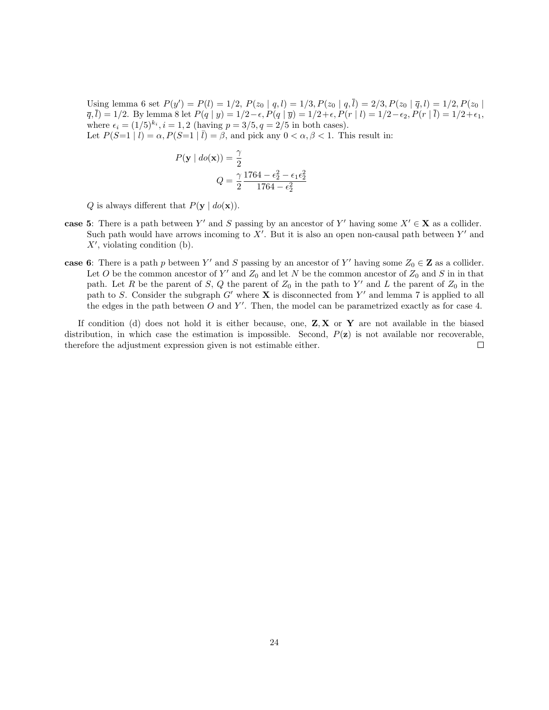Using lemma 6 set  $P(y') = P(l) = 1/2$ ,  $P(z_0 | q, l) = 1/3$ ,  $P(z_0 | q, l) = 2/3$ ,  $P(z_0 | \bar{q}, l) = 1/2$ ,  $P(z_0 | l)$  $\overline{q}$ ,  $\overline{l}$ ) = 1/2. By lemma 8 let  $P(q | y) = 1/2 - \epsilon$ ,  $P(q | \overline{y}) = 1/2 + \epsilon$ ,  $P(r | l) = 1/2 - \epsilon_2$ ,  $P(r | \overline{l}) = 1/2 + \epsilon_1$ , where  $\epsilon_i = (1/5)^{k_i}, i = 1, 2$  (having  $p = 3/5, q = 2/5$  in both cases). Let  $P(S=1 | l) = \alpha$ ,  $P(S=1 | \bar{l}) = \beta$ , and pick any  $0 < \alpha, \beta < 1$ . This result in:

$$
P(\mathbf{y} \mid do(\mathbf{x})) = \frac{\gamma}{2}
$$

$$
Q = \frac{\gamma}{2} \frac{1764 - \epsilon_2^2 - \epsilon_1 \epsilon_2^2}{1764 - \epsilon_2^2}
$$

Q is always different that  $P(\mathbf{y} \mid do(\mathbf{x}))$ .

- case 5: There is a path between Y' and S passing by an ancestor of Y' having some  $X' \in \mathbf{X}$  as a collider. Such path would have arrows incoming to  $X'$ . But it is also an open non-causal path between  $Y'$  and  $X'$ , violating condition (b).
- case 6: There is a path p between Y' and S passing by an ancestor of Y' having some  $Z_0 \in \mathbb{Z}$  as a collider. Let O be the common ancestor of Y' and  $Z_0$  and let N be the common ancestor of  $Z_0$  and S in in that path. Let R be the parent of S, Q the parent of  $Z_0$  in the path to Y' and L the parent of  $Z_0$  in the path to S. Consider the subgraph  $G'$  where **X** is disconnected from Y' and lemma 7 is applied to all the edges in the path between  $O$  and  $Y'$ . Then, the model can be parametrized exactly as for case 4.

If condition (d) does not hold it is either because, one,  $Z, X$  or Y are not available in the biased distribution, in which case the estimation is impossible. Second,  $P(\mathbf{z})$  is not available nor recoverable, therefore the adjustment expression given is not estimable either.  $\Box$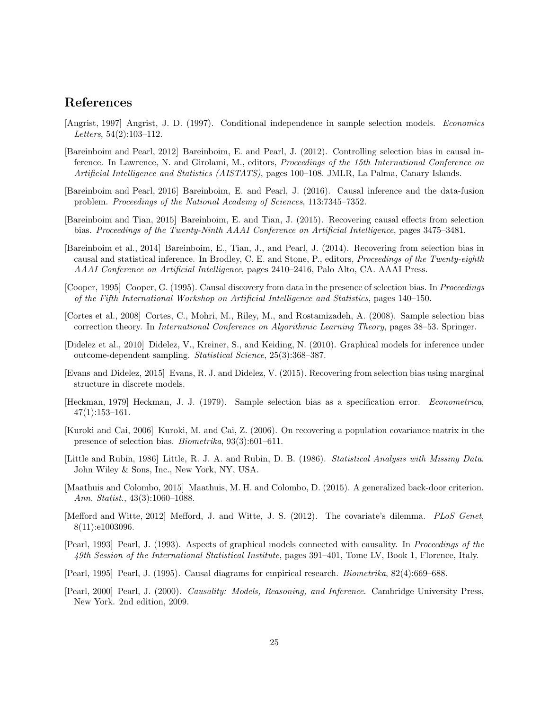# References

- [Angrist, 1997] Angrist, J. D. (1997). Conditional independence in sample selection models. Economics Letters, 54(2):103–112.
- [Bareinboim and Pearl, 2012] Bareinboim, E. and Pearl, J. (2012). Controlling selection bias in causal inference. In Lawrence, N. and Girolami, M., editors, Proceedings of the 15th International Conference on Artificial Intelligence and Statistics (AISTATS), pages 100–108. JMLR, La Palma, Canary Islands.
- [Bareinboim and Pearl, 2016] Bareinboim, E. and Pearl, J. (2016). Causal inference and the data-fusion problem. Proceedings of the National Academy of Sciences, 113:7345–7352.
- [Bareinboim and Tian, 2015] Bareinboim, E. and Tian, J. (2015). Recovering causal effects from selection bias. Proceedings of the Twenty-Ninth AAAI Conference on Artificial Intelligence, pages 3475–3481.
- [Bareinboim et al., 2014] Bareinboim, E., Tian, J., and Pearl, J. (2014). Recovering from selection bias in causal and statistical inference. In Brodley, C. E. and Stone, P., editors, Proceedings of the Twenty-eighth AAAI Conference on Artificial Intelligence, pages 2410–2416, Palo Alto, CA. AAAI Press.
- [Cooper, 1995] Cooper, G. (1995). Causal discovery from data in the presence of selection bias. In Proceedings of the Fifth International Workshop on Artificial Intelligence and Statistics, pages 140–150.
- [Cortes et al., 2008] Cortes, C., Mohri, M., Riley, M., and Rostamizadeh, A. (2008). Sample selection bias correction theory. In International Conference on Algorithmic Learning Theory, pages 38–53. Springer.
- [Didelez et al., 2010] Didelez, V., Kreiner, S., and Keiding, N. (2010). Graphical models for inference under outcome-dependent sampling. Statistical Science, 25(3):368–387.
- [Evans and Didelez, 2015] Evans, R. J. and Didelez, V. (2015). Recovering from selection bias using marginal structure in discrete models.
- [Heckman, 1979] Heckman, J. J. (1979). Sample selection bias as a specification error. Econometrica, 47(1):153–161.
- [Kuroki and Cai, 2006] Kuroki, M. and Cai, Z. (2006). On recovering a population covariance matrix in the presence of selection bias. Biometrika, 93(3):601–611.
- [Little and Rubin, 1986] Little, R. J. A. and Rubin, D. B. (1986). Statistical Analysis with Missing Data. John Wiley & Sons, Inc., New York, NY, USA.
- [Maathuis and Colombo, 2015] Maathuis, M. H. and Colombo, D. (2015). A generalized back-door criterion. Ann. Statist., 43(3):1060–1088.
- [Mefford and Witte, 2012] Mefford, J. and Witte, J. S. (2012). The covariate's dilemma. PLoS Genet, 8(11):e1003096.
- [Pearl, 1993] Pearl, J. (1993). Aspects of graphical models connected with causality. In Proceedings of the 49th Session of the International Statistical Institute, pages 391–401, Tome LV, Book 1, Florence, Italy.
- [Pearl, 1995] Pearl, J. (1995). Causal diagrams for empirical research. Biometrika, 82(4):669–688.
- [Pearl, 2000] Pearl, J. (2000). Causality: Models, Reasoning, and Inference. Cambridge University Press, New York. 2nd edition, 2009.